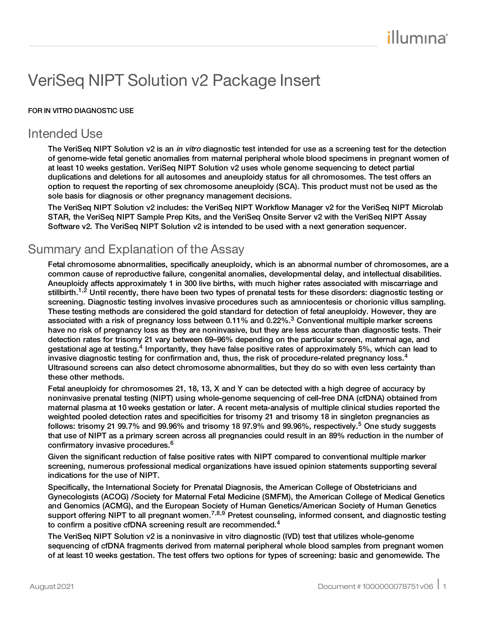# VeriSeq NIPT Solution v2 Package Insert

#### FOR IN VITRO DIAGNOSTIC USE

# Intended Use

The VeriSeq NIPT Solution v2 is an in vitro diagnostic test intended for use as a screening test for the detection of genome-wide fetal genetic anomalies from maternal peripheral whole blood specimens in pregnant women of at least 10 weeks gestation. VeriSeq NIPT Solution v2 uses whole genome sequencing to detect partial duplications and deletions for all autosomes and aneuploidy status for all chromosomes. The test offers an option to request the reporting of sex chromosome aneuploidy (SCA). This product must not be used as the sole basis for diagnosis or other pregnancy management decisions.

The VeriSeq NIPT Solution v2 includes: the VeriSeq NIPT Workflow Manager v2 for the VeriSeq NIPT Microlab STAR, the VeriSeq NIPT Sample Prep Kits, and the VeriSeq Onsite Server v2 with the VeriSeq NIPT Assay Software v2. The VeriSeq NIPT Solution v2 is intended to be used with a next generation sequencer.

# Summary and Explanation of the Assay

Fetal chromosome abnormalities, specifically aneuploidy, which is an abnormal number of chromosomes, are a common cause of reproductive failure, congenital anomalies, developmental delay, and intellectual disabilities. Aneuploidy affects approximately 1 in 300 live births, with much higher rates associated with miscarriage and stillbirth.<sup>1,2</sup> Until recently, there have been two types of prenatal tests for these disorders: diagnostic testing or screening. Diagnostic testing involves invasive procedures such as amniocentesis or chorionic villus sampling. These testing methods are considered the gold standard for detection of fetal aneuploidy. However, they are associated with a risk of pregnancy loss between 0.11% and 0.22%.<sup>3</sup> Conventional multiple marker screens have no risk of pregnancy loss as they are noninvasive, but they are less accurate than diagnostic tests. Their detection rates for trisomy 21 vary between 69–96% depending on the particular screen, maternal age, and gestational age at testing.<sup>4</sup> Importantly, they have false positive rates of approximately 5%, which can lead to invasive diagnostic testing for confirmation and, thus, the risk of procedure-related pregnancy loss.<sup>4</sup> Ultrasound screens can also detect chromosome abnormalities, but they do so with even less certainty than these other methods.

Fetal aneuploidy for chromosomes 21, 18, 13, X and Y can be detected with a high degree of accuracy by noninvasive prenatal testing (NIPT) using whole-genome sequencing of cell-free DNA (cfDNA) obtained from maternal plasma at 10 weeks gestation or later. A recent meta-analysis of multiple clinical studies reported the weighted pooled detection rates and specificities for trisomy 21 and trisomy 18 in singleton pregnancies as follows: trisomy 21 99.7% and 99.96% and trisomy 18 97.9% and 99.96%, respectively.<sup>5</sup> One study suggests that use of NIPT as a primary screen across all pregnancies could result in an 89% reduction in the number of confirmatory invasive procedures.<sup>6</sup>

Given the significant reduction of false positive rates with NIPT compared to conventional multiple marker screening, numerous professional medical organizations have issued opinion statements supporting several indications for the use of NIPT.

Specifically, the International Society for Prenatal Diagnosis, the American College of Obstetricians and Gynecologists (ACOG) /Society for Maternal Fetal Medicine (SMFM), the American College of Medical Genetics and Genomics (ACMG), and the European Society of Human Genetics/American Society of Human Genetics support offering NIPT to all pregnant women.<sup>7,8,9</sup> Pretest counseling, informed consent, and diagnostic testing to confirm a positive cfDNA screening result are recommended.<sup>4</sup>

The VeriSeq NIPT Solution v2 is a noninvasive in vitro diagnostic (IVD) test that utilizes whole-genome sequencing of cfDNA fragments derived from maternal peripheral whole blood samples from pregnant women of at least 10 weeks gestation. The test offers two options for types of screening: basic and genomewide. The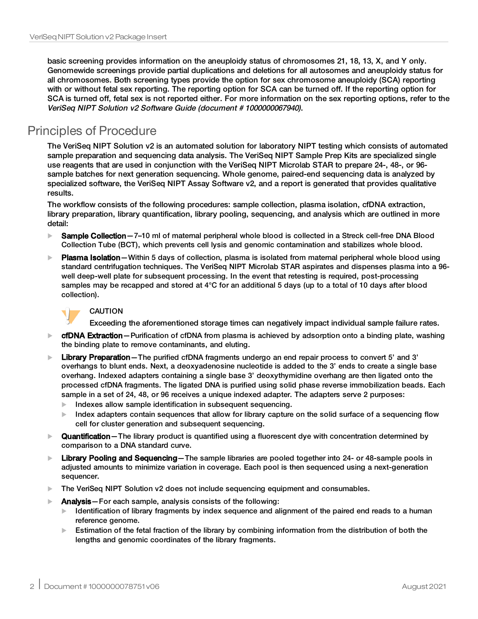basic screening provides information on the aneuploidy status of chromosomes 21, 18, 13, X, and Y only. Genomewide screenings provide partial duplications and deletions for all autosomes and aneuploidy status for all chromosomes. Both screening types provide the option for sex chromosome aneuploidy (SCA) reporting with or without fetal sex reporting. The reporting option for SCA can be turned off. If the reporting option for SCA is turned off, fetal sex is not reported either. For more information on the sex reporting options, refer to the VeriSeq NIPT Solution v2 Software Guide (document # 1000000067940).

# Principles of Procedure

The VeriSeq NIPT Solution v2 is an automated solution for laboratory NIPT testing which consists of automated sample preparation and sequencing data analysis. The VeriSeq NIPT Sample Prep Kits are specialized single use reagents that are used in conjunction with the VeriSeq NIPT Microlab STAR to prepare 24-, 48-, or 96 sample batches for next generation sequencing. Whole genome, paired-end sequencing data is analyzed by specialized software, the VeriSeq NIPT Assay Software v2, and a report is generated that provides qualitative results.

The workflow consists of the following procedures: sample collection, plasma isolation, cfDNA extraction, library preparation, library quantification, library pooling, sequencing, and analysis which are outlined in more detail:

- ▶ Sample Collection 7-10 ml of maternal peripheral whole blood is collected in a Streck cell-free DNA Blood Collection Tube (BCT), which prevents cell lysis and genomic contamination and stabilizes whole blood.
- $\blacktriangleright$  Plasma Isolation—Within 5 days of collection, plasma is isolated from maternal peripheral whole blood using standard centrifugation techniques. The VeriSeq NIPT Microlab STAR aspirates and dispenses plasma into a 96 well deep-well plate for subsequent processing. In the event that retesting is required, post-processing samples may be recapped and stored at 4°C for an additional 5 days (up to a total of 10 days after blood collection).



### CAUTION

Exceeding the aforementioned storage times can negatively impact individual sample failure rates.

- **Example Extraction**—Purification of cfDNA from plasma is achieved by adsorption onto a binding plate, washing the binding plate to remove contaminants, and eluting.
- $\blacktriangleright$  Library Preparation The purified cfDNA fragments undergo an end repair process to convert 5' and 3' overhangs to blunt ends. Next, a deoxyadenosine nucleotide is added to the 3' ends to create a single base overhang. Indexed adapters containing a single base 3' deoxythymidine overhang are then ligated onto the processed cfDNA fragments. The ligated DNA is purified using solid phase reverse immobilization beads. Each sample in a set of 24, 48, or 96 receives a unique indexed adapter. The adapters serve 2 purposes:
	- Indexes allow sample identification in subsequent sequencing.
	- Index adapters contain sequences that allow for library capture on the solid surface of a sequencing flow cell for cluster generation and subsequent sequencing.
- **Quantification** The library product is quantified using a fluorescent dye with concentration determined by comparison to a DNA standard curve.
- $\blacktriangleright$  Library Pooling and Sequencing—The sample libraries are pooled together into 24- or 48-sample pools in adjusted amounts to minimize variation in coverage. Each pool is then sequenced using a next-generation sequencer.
- $\blacktriangleright$  The VeriSeq NIPT Solution v2 does not include sequencing equipment and consumables.
- $\blacktriangleright$  **Analysis** For each sample, analysis consists of the following:
	- Identification of library fragments by index sequence and alignment of the paired end reads to a human reference genome.
	- $\blacktriangleright$  Estimation of the fetal fraction of the library by combining information from the distribution of both the lengths and genomic coordinates of the library fragments.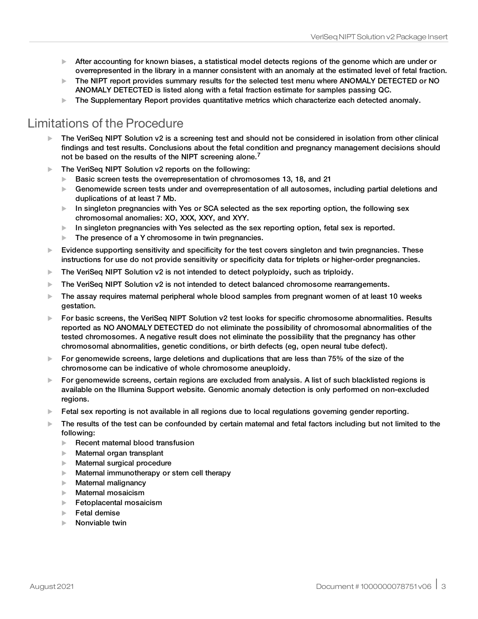- $\blacktriangleright$  After accounting for known biases, a statistical model detects regions of the genome which are under or overrepresented in the library in a manner consistent with an anomaly at the estimated level of fetal fraction.
- $\blacktriangleright$  The NIPT report provides summary results for the selected test menu where ANOMALY DETECTED or NO ANOMALY DETECTED is listed along with a fetal fraction estimate for samples passing QC.
- $\blacktriangleright$  The Supplementary Report provides quantitative metrics which characterize each detected anomaly.

# Limitations of the Procedure

- The VeriSeq NIPT Solution v2 is a screening test and should not be considered in isolation from other clinical findings and test results. Conclusions about the fetal condition and pregnancy management decisions should not be based on the results of the NIPT screening alone.<sup>7</sup>
- $\blacktriangleright$  The VeriSea NIPT Solution v2 reports on the following:
	- $\blacktriangleright$  Basic screen tests the overrepresentation of chromosomes 13, 18, and 21
	- $\blacktriangleright$  Genomewide screen tests under and overrepresentation of all autosomes, including partial deletions and duplications of at least 7 Mb.
	- $\blacktriangleright$  In singleton pregnancies with Yes or SCA selected as the sex reporting option, the following sex chromosomal anomalies: XO, XXX, XXY, and XYY.
	- $\blacktriangleright$  In singleton pregnancies with Yes selected as the sex reporting option, fetal sex is reported.
	- $\blacktriangleright$  The presence of a Y chromosome in twin pregnancies.
- $\blacktriangleright$  Evidence supporting sensitivity and specificity for the test covers singleton and twin pregnancies. These instructions for use do not provide sensitivity or specificity data for triplets or higher-order pregnancies.
- $\blacktriangleright$  The VeriSeq NIPT Solution v2 is not intended to detect polyploidy, such as triploidy.
- $\triangleright$  The VeriSeq NIPT Solution v2 is not intended to detect balanced chromosome rearrangements.
- $\blacktriangleright$  The assay requires matemal peripheral whole blood samples from pregnant women of at least 10 weeks gestation.
- For basic screens, the VeriSeq NIPT Solution  $v2$  test looks for specific chromosome abnormalities. Results reported as NO ANOMALY DETECTED do not eliminate the possibility of chromosomal abnormalities of the tested chromosomes. A negative result does not eliminate the possibility that the pregnancy has other chromosomal abnormalities, genetic conditions, or birth defects (eg, open neural tube defect).
- $\blacktriangleright$  For genomewide screens, large deletions and duplications that are less than 75% of the size of the chromosome can be indicative of whole chromosome aneuploidy.
- $\blacktriangleright$  For genomewide screens, certain regions are excluded from analysis. A list of such blacklisted regions is available on the Illumina Support website. Genomic anomaly detection is only performed on non-excluded regions.
- $\blacktriangleright$  Fetal sex reporting is not available in all regions due to local regulations governing gender reporting.
- $\blacktriangleright$  The results of the test can be confounded by certain maternal and fetal factors including but not limited to the following:
	- $\blacktriangleright$  Recent maternal blood transfusion
	- $\blacktriangleright$  Maternal organ transplant
	- $\blacktriangleright$  Maternal surgical procedure
	- $\blacktriangleright$  Maternal immunotherapy or stem cell therapy
	- $\blacktriangleright$  Maternal malignancy
	- $\blacktriangleright$  Maternal mosaicism
	- $\blacktriangleright$  Fetoplacental mosaicism
	- $\blacktriangleright$  Fetal demise
	- $\blacktriangleright$  Nonviable twin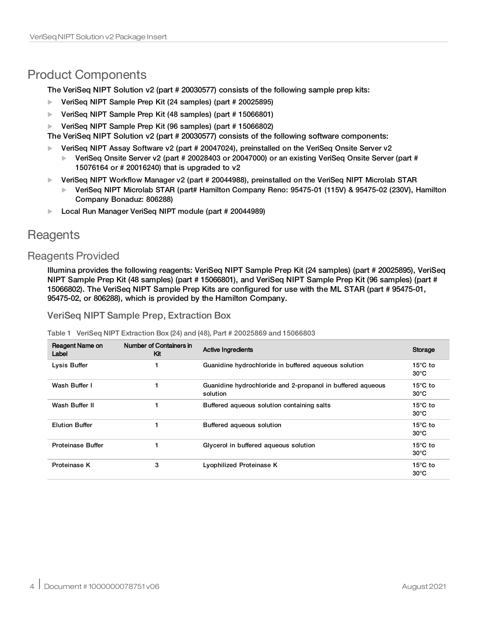# Product Components

The VeriSeq NIPT Solution v2 (part # 20030577) consists of the following sample prep kits:

- ▶ VeriSeq NIPT Sample Prep Kit (24 samples) (part # 20025895)
- ▶ VeriSeq NIPT Sample Prep Kit (48 samples) (part # 15066801)
- ▶ VeriSeq NIPT Sample Prep Kit (96 samples) (part # 15066802)

The VeriSeq NIPT Solution v2 (part # 20030577) consists of the following software components:

- $\blacktriangleright$  VeriSeg NIPT Assay Software v2 (part # 20047024), preinstalled on the VeriSeg Onsite Server v2
	- $\blacktriangleright$  VeriSeq Onsite Server v2 (part # 20028403 or 20047000) or an existing VeriSeq Onsite Server (part # 15076164 or # 20016240) that is upgraded to v2
- ▶ VeriSeq NIPT Workflow Manager v2 (part # 20044988), preinstalled on the VeriSeq NIPT Microlab STAR
	- u VeriSeq NIPT Microlab STAR (part# Hamilton Company Reno: 95475-01 (115V) & 95475-02 (230V), Hamilton Company Bonaduz: 806288)
- ▶ Local Run Manager VeriSeg NIPT module (part # 20044989)

# <span id="page-3-0"></span>**Reagents**

# Reagents Provided

Illumina provides the following reagents: VeriSeq NIPT Sample Prep Kit (24 samples) (part # 20025895), VeriSeq NIPT Sample Prep Kit (48 samples) (part # 15066801), and VeriSeq NIPT Sample Prep Kit (96 samples) (part # 15066802). The VeriSeq NIPT Sample Prep Kits are configured for use with the ML STAR (part # 95475-01, 95475-02, or 806288), which is provided by the Hamilton Company.

VeriSeq NIPT Sample Prep, Extraction Box

|--|

| Reagent Name on<br>Label | Number of Containers in<br>Kit | <b>Active Ingredients</b>                                              | Storage                             |
|--------------------------|--------------------------------|------------------------------------------------------------------------|-------------------------------------|
| Lysis Buffer             |                                | Guanidine hydrochloride in buffered aqueous solution                   | $15^{\circ}$ C to<br>$30^{\circ}$ C |
| Wash Buffer I            |                                | Guanidine hydrochloride and 2-propanol in buffered aqueous<br>solution | $15^{\circ}$ C to<br>$30^{\circ}$ C |
| Wash Buffer II           |                                | Buffered aqueous solution containing salts                             | $15^{\circ}$ C to<br>$30^{\circ}$ C |
| <b>Elution Buffer</b>    |                                | Buffered aqueous solution                                              | $15^{\circ}$ C to<br>$30^{\circ}$ C |
| <b>Proteinase Buffer</b> |                                | Glycerol in buffered aqueous solution                                  | $15^{\circ}$ C to<br>$30^{\circ}$ C |
| Proteinase K             | 3                              | Lyophilized Proteinase K                                               | $15^{\circ}$ C to<br>$30^{\circ}$ C |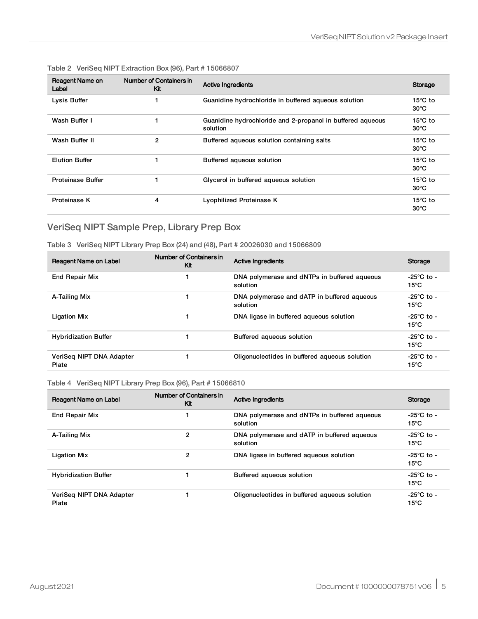| Reagent Name on<br>Label | Number of Containers in<br>Kit | <b>Active Ingredients</b>                                              | Storage                             |
|--------------------------|--------------------------------|------------------------------------------------------------------------|-------------------------------------|
| Lysis Buffer             |                                | Guanidine hydrochloride in buffered aqueous solution                   | $15^{\circ}$ C to<br>$30^{\circ}$ C |
| Wash Buffer I            |                                | Guanidine hydrochloride and 2-propanol in buffered aqueous<br>solution | $15^{\circ}$ C to<br>$30^{\circ}$ C |
| Wash Buffer II           | $\overline{2}$                 | Buffered aqueous solution containing salts                             | $15^{\circ}$ C to<br>$30^{\circ}$ C |
| <b>Elution Buffer</b>    |                                | Buffered aqueous solution                                              | $15^{\circ}$ C to<br>$30^{\circ}$ C |
| <b>Proteinase Buffer</b> |                                | Glycerol in buffered aqueous solution                                  | $15^{\circ}$ C to<br>$30^{\circ}$ C |
| Proteinase K             | 4                              | Lyophilized Proteinase K                                               | $15^{\circ}$ C to<br>$30^{\circ}$ C |

#### Table 2 VeriSeq NIPT Extraction Box (96), Part # 15066807

# VeriSeq NIPT Sample Prep, Library Prep Box

Table 3 VeriSeq NIPT Library Prep Box (24) and (48), Part # 20026030 and 15066809

| Reagent Name on Label             | Number of Containers in<br>Kit | <b>Active Ingredients</b>                                | Storage                                  |
|-----------------------------------|--------------------------------|----------------------------------------------------------|------------------------------------------|
| <b>End Repair Mix</b>             |                                | DNA polymerase and dNTPs in buffered aqueous<br>solution | $-25^{\circ}$ C to $-$<br>$15^{\circ}$ C |
| A-Tailing Mix                     |                                | DNA polymerase and dATP in buffered agueous<br>solution  | $-25^{\circ}$ C to -<br>$15^{\circ}$ C   |
| <b>Ligation Mix</b>               |                                | DNA ligase in buffered aqueous solution                  | $-25^{\circ}$ C to -<br>$15^{\circ}$ C   |
| <b>Hybridization Buffer</b>       |                                | Buffered agueous solution                                | $-25^{\circ}$ C to -<br>$15^{\circ}$ C   |
| VeriSeg NIPT DNA Adapter<br>Plate |                                | Oligonucleotides in buffered aqueous solution            | $-25^{\circ}$ C to -<br>$15^{\circ}$ C   |

#### Table 4 VeriSeq NIPT Library Prep Box (96), Part # 15066810

| Reagent Name on Label             | Number of Containers in<br>Kit | <b>Active Ingredients</b>                                | Storage                                  |
|-----------------------------------|--------------------------------|----------------------------------------------------------|------------------------------------------|
| <b>End Repair Mix</b>             |                                | DNA polymerase and dNTPs in buffered aqueous<br>solution | -25°C to -<br>$15^{\circ}$ C             |
| A-Tailing Mix                     | 2                              | DNA polymerase and dATP in buffered agueous<br>solution  | $-25^{\circ}$ C to $-$<br>$15^{\circ}$ C |
| <b>Ligation Mix</b>               | 2                              | DNA ligase in buffered aqueous solution                  | $-25^{\circ}$ C to $-$<br>$15^{\circ}$ C |
| <b>Hybridization Buffer</b>       |                                | Buffered agueous solution                                | $-25^{\circ}$ C to -<br>$15^{\circ}$ C   |
| VeriSeg NIPT DNA Adapter<br>Plate |                                | Oligonucleotides in buffered aqueous solution            | -25°C to -<br>$15^{\circ}$ C             |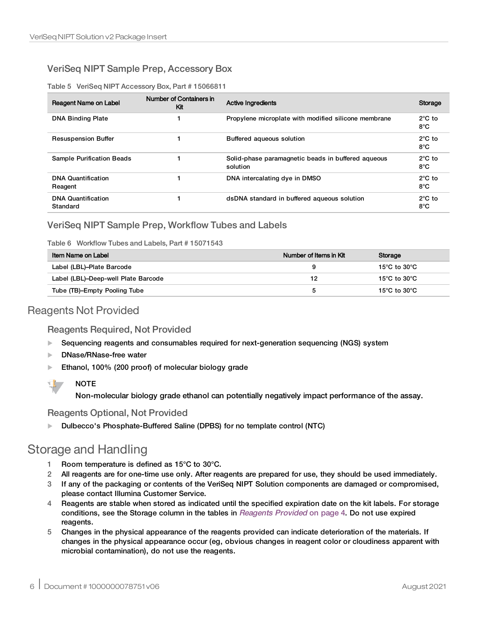# VeriSeq NIPT Sample Prep, Accessory Box

Table 5 VeriSeq NIPT Accessory Box, Part # 15066811

| Reagent Name on Label                 | Number of Containers in<br>Κit | <b>Active Ingredients</b>                                      | Storage                           |
|---------------------------------------|--------------------------------|----------------------------------------------------------------|-----------------------------------|
| <b>DNA Binding Plate</b>              |                                | Propylene microplate with modified silicone membrane           | $2^{\circ}$ C to<br>8°C           |
| <b>Resuspension Buffer</b>            |                                | Buffered aqueous solution                                      | $2^{\circ}$ C to<br>8°C           |
| <b>Sample Purification Beads</b>      |                                | Solid-phase paramagnetic beads in buffered aqueous<br>solution | $2^{\circ}$ C to<br>$8^{\circ}$ C |
| <b>DNA Quantification</b><br>Reagent  |                                | DNA intercalating dye in DMSO                                  | $2^{\circ}$ C to<br>$8^{\circ}$ C |
| <b>DNA Quantification</b><br>Standard |                                | dsDNA standard in buffered aqueous solution                    | $2^{\circ}$ C to<br>$8^{\circ}$ C |

## VeriSeq NIPT Sample Prep, Workflow Tubes and Labels

Table 6 Workflow Tubes and Labels, Part # 15071543

| Item Name on Label                  | Number of Items in Kit | Storage      |
|-------------------------------------|------------------------|--------------|
| Label (LBL)-Plate Barcode           |                        | 15°C to 30°C |
| Label (LBL)-Deep-well Plate Barcode | 12                     | 15°C to 30°C |
| Tube (TB)-Empty Pooling Tube        | b                      | 15°C to 30°C |

# Reagents Not Provided

### Reagents Required, Not Provided

- Sequencing reagents and consumables required for next-generation sequencing (NGS) system
- DNase/RNase-free water
- Ethanol, 100% (200 proof) of molecular biology grade



Non-molecular biology grade ethanol can potentially negatively impact performance of the assay.

## Reagents Optional, Not Provided

Dulbecco's Phosphate-Buffered Saline (DPBS) for no template control (NTC)

# Storage and Handling

- 1 Room temperature is defined as 15°C to 30°C.
- 2 All reagents are for one-time use only. After reagents are prepared for use, they should be used immediately.
- 3 If any of the packaging or contents of the VeriSeq NIPT Solution components are damaged or compromised, please contact Illumina Customer Service.
- 4 Reagents are stable when stored as indicated until the specified expiration date on the kit labels. For storage conditions, see the Storage column in the tables in [Reagents](#page-3-0) Provided on page 4. Do not use expired reagents.
- 5 Changes in the physical appearance of the reagents provided can indicate deterioration of the materials. If changes in the physical appearance occur (eg, obvious changes in reagent color or cloudiness apparent with microbial contamination), do not use the reagents.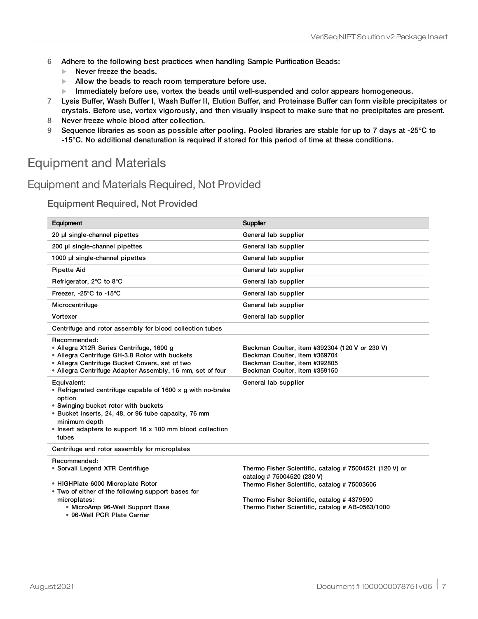- 6 Adhere to the following best practices when handling Sample Purification Beads:
	- $\blacktriangleright$  Never freeze the beads.
	- $\blacktriangleright$  Allow the beads to reach room temperature before use.
	- $\blacktriangleright$  Immediately before use, vortex the beads until well-suspended and color appears homogeneous.
- 7 Lysis Buffer, Wash Buffer I, Wash Buffer II, Elution Buffer, and Proteinase Buffer can form visible precipitates or crystals. Before use, vortex vigorously, and then visually inspect to make sure that no precipitates are present.
- 8 Never freeze whole blood after collection.
- 9 Sequence libraries as soon as possible after pooling. Pooled libraries are stable for up to 7 days at -25°C to -15°C. No additional denaturation is required if stored for this period of time at these conditions.

# Equipment and Materials

# Equipment and Materials Required, Not Provided

### Equipment Required, Not Provided

| Equipment                                                                                                                                                                                                                                                                          | Supplier                                                                                                                                          |
|------------------------------------------------------------------------------------------------------------------------------------------------------------------------------------------------------------------------------------------------------------------------------------|---------------------------------------------------------------------------------------------------------------------------------------------------|
| 20 µl single-channel pipettes                                                                                                                                                                                                                                                      | General lab supplier                                                                                                                              |
| 200 µl single-channel pipettes                                                                                                                                                                                                                                                     | General lab supplier                                                                                                                              |
| 1000 µl single-channel pipettes                                                                                                                                                                                                                                                    | General lab supplier                                                                                                                              |
| <b>Pipette Aid</b>                                                                                                                                                                                                                                                                 | General lab supplier                                                                                                                              |
| Refrigerator, 2°C to 8°C                                                                                                                                                                                                                                                           | General lab supplier                                                                                                                              |
| Freezer, -25°C to -15°C                                                                                                                                                                                                                                                            | General lab supplier                                                                                                                              |
| Microcentrifuge                                                                                                                                                                                                                                                                    | General lab supplier                                                                                                                              |
| Vortexer                                                                                                                                                                                                                                                                           | General lab supplier                                                                                                                              |
| Centrifuge and rotor assembly for blood collection tubes                                                                                                                                                                                                                           |                                                                                                                                                   |
| Recommended:<br>• Allegra X12R Series Centrifuge, 1600 g<br>• Allegra Centrifuge GH-3.8 Rotor with buckets<br>• Allegra Centrifuge Bucket Covers, set of two<br>• Allegra Centrifuge Adapter Assembly, 16 mm, set of four                                                          | Beckman Coulter, item #392304 (120 V or 230 V)<br>Beckman Coulter, item #369704<br>Beckman Coulter, item #392805<br>Beckman Coulter, item #359150 |
| Equivalent:<br>• Refrigerated centrifuge capable of 1600 $\times$ g with no-brake<br>option<br>• Swinging bucket rotor with buckets<br>• Bucket inserts, 24, 48, or 96 tube capacity, 76 mm<br>minimum depth<br>• Insert adapters to support 16 x 100 mm blood collection<br>tubes | General lab supplier                                                                                                                              |
| Centrifuge and rotor assembly for microplates                                                                                                                                                                                                                                      |                                                                                                                                                   |
| Recommended:<br>• Sorvall Legend XTR Centrifuge<br>• HIGHPlate 6000 Microplate Rotor                                                                                                                                                                                               | Thermo Fisher Scientific, catalog # 75004521 (120 V) or<br>catalog # 75004520 (230 V)<br>Thermo Fisher Scientific, catalog # 75003606             |
| • Two of either of the following support bases for<br>microplates:<br>• MicroAmp 96-Well Support Base<br>• 96-Well PCR Plate Carrier                                                                                                                                               | Thermo Fisher Scientific, catalog #4379590<br>Thermo Fisher Scientific, catalog # AB-0563/1000                                                    |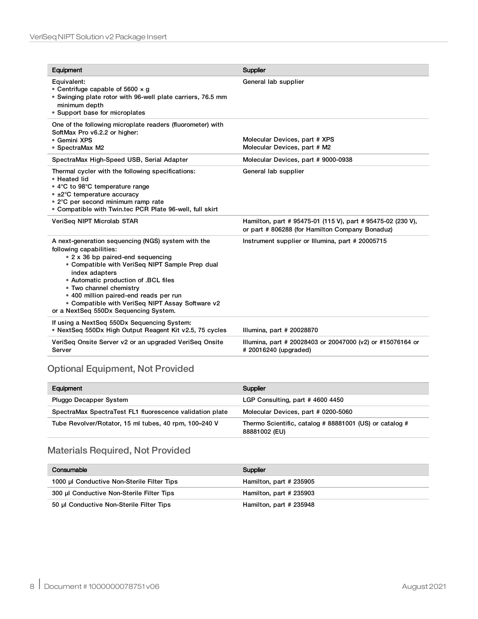| Equipment                                                                                                                                                                                                                                                                                                                                                                                         | Supplier                                                                                                       |
|---------------------------------------------------------------------------------------------------------------------------------------------------------------------------------------------------------------------------------------------------------------------------------------------------------------------------------------------------------------------------------------------------|----------------------------------------------------------------------------------------------------------------|
| Equivalent:<br>• Centrifuge capable of 5600 $\times$ q<br>• Swinging plate rotor with 96-well plate carriers, 76.5 mm<br>minimum depth<br>• Support base for microplates                                                                                                                                                                                                                          | General lab supplier                                                                                           |
| One of the following microplate readers (fluorometer) with<br>SoftMax Pro v6.2.2 or higher:<br>• Gemini XPS<br>• SpectraMax M2                                                                                                                                                                                                                                                                    | Molecular Devices, part # XPS<br>Molecular Devices, part # M2                                                  |
| SpectraMax High-Speed USB, Serial Adapter                                                                                                                                                                                                                                                                                                                                                         | Molecular Devices, part #9000-0938                                                                             |
| Thermal cycler with the following specifications:<br>• Heated lid<br>• 4°C to 98°C temperature range<br>• ±2°C temperature accuracy<br>• 2°C per second minimum ramp rate<br>• Compatible with Twin.tec PCR Plate 96-well, full skirt                                                                                                                                                             | General lab supplier                                                                                           |
| VeriSeq NIPT Microlab STAR                                                                                                                                                                                                                                                                                                                                                                        | Hamilton, part # 95475-01 (115 V), part # 95475-02 (230 V),<br>or part # 806288 (for Hamilton Company Bonaduz) |
| A next-generation sequencing (NGS) system with the<br>following capabilities:<br>• 2 x 36 bp paired-end sequencing<br>• Compatible with VeriSeg NIPT Sample Prep dual<br>index adapters<br>• Automatic production of .BCL files<br>• Two channel chemistry<br>• 400 million paired-end reads per run<br>• Compatible with VeriSeq NIPT Assay Software v2<br>or a NextSeq 550Dx Sequencing System. | Instrument supplier or Illumina, part # 20005715                                                               |
| If using a NextSeq 550Dx Sequencing System:<br>• NextSeg 550Dx High Output Reagent Kit v2.5, 75 cycles                                                                                                                                                                                                                                                                                            | Illumina, part # 20028870                                                                                      |
| VeriSeq Onsite Server v2 or an upgraded VeriSeq Onsite<br>Server                                                                                                                                                                                                                                                                                                                                  | Illumina, part # 20028403 or 20047000 (v2) or #15076164 or<br># 20016240 (upgraded)                            |

# Optional Equipment, Not Provided

| Equipment                                                | <b>Supplier</b>                                                          |
|----------------------------------------------------------|--------------------------------------------------------------------------|
| Pluggo Decapper System                                   | LGP Consulting, part #4600 4450                                          |
| SpectraMax SpectraTest FL1 fluorescence validation plate | Molecular Devices, part # 0200-5060                                      |
| Tube Revolver/Rotator, 15 ml tubes, 40 rpm, 100-240 V    | Thermo Scientific, catalog # 88881001 (US) or catalog #<br>88881002 (EU) |

# Materials Required, Not Provided

| Consumable                                 | Supplier                 |
|--------------------------------------------|--------------------------|
| 1000 µl Conductive Non-Sterile Filter Tips | Hamilton, part $#235905$ |
| 300 µl Conductive Non-Sterile Filter Tips  | Hamilton, part # 235903  |
| 50 µl Conductive Non-Sterile Filter Tips   | Hamilton, part # 235948  |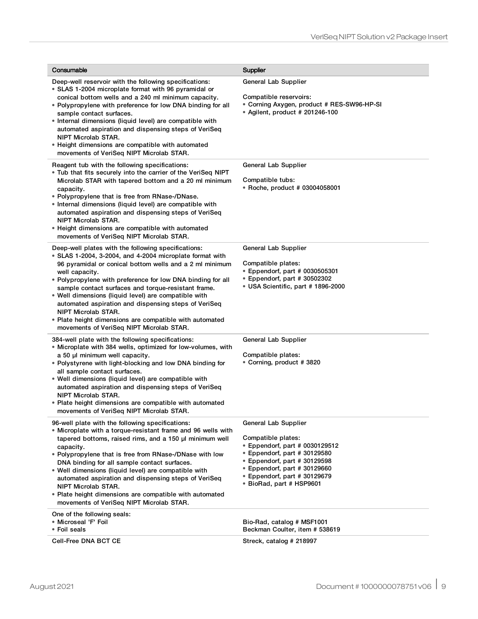| Consumable                                                                                                                                                                                                                                                                                                                                                                                                                                                                                                                                                       | <b>Supplier</b>                                                                                                                                                                                                                          |
|------------------------------------------------------------------------------------------------------------------------------------------------------------------------------------------------------------------------------------------------------------------------------------------------------------------------------------------------------------------------------------------------------------------------------------------------------------------------------------------------------------------------------------------------------------------|------------------------------------------------------------------------------------------------------------------------------------------------------------------------------------------------------------------------------------------|
| Deep-well reservoir with the following specifications:<br>• SLAS 1-2004 microplate format with 96 pyramidal or<br>conical bottom wells and a 240 ml minimum capacity.<br>• Polypropylene with preference for low DNA binding for all<br>sample contact surfaces.<br>• Internal dimensions (liquid level) are compatible with<br>automated aspiration and dispensing steps of VeriSeq<br>NIPT Microlab STAR.<br>• Height dimensions are compatible with automated<br>movements of VeriSeq NIPT Microlab STAR.                                                     | General Lab Supplier<br>Compatible reservoirs:<br>• Corning Axygen, product # RES-SW96-HP-SI<br>• Agilent, product # 201246-100                                                                                                          |
| Reagent tub with the following specifications:<br>. Tub that fits securely into the carrier of the VeriSeq NIPT<br>Microlab STAR with tapered bottom and a 20 ml minimum<br>capacity.<br>• Polypropylene that is free from RNase-/DNase.<br>• Internal dimensions (liquid level) are compatible with<br>automated aspiration and dispensing steps of VeriSeq<br>NIPT Microlab STAR.<br>• Height dimensions are compatible with automated<br>movements of VeriSeq NIPT Microlab STAR.                                                                             | General Lab Supplier<br>Compatible tubs:<br>* Roche, product # 03004058001                                                                                                                                                               |
| Deep-well plates with the following specifications:<br>• SLAS 1-2004, 3-2004, and 4-2004 microplate format with<br>96 pyramidal or conical bottom wells and a 2 ml minimum<br>well capacity.<br>• Polypropylene with preference for low DNA binding for all<br>sample contact surfaces and torque-resistant frame.<br>• Well dimensions (liquid level) are compatible with<br>automated aspiration and dispensing steps of VeriSeq<br>NIPT Microlab STAR.<br>• Plate height dimensions are compatible with automated<br>movements of VeriSeq NIPT Microlab STAR. | General Lab Supplier<br>Compatible plates:<br>• Eppendorf, part # 0030505301<br>• Eppendorf, part # 30502302<br>• USA Scientific, part # 1896-2000                                                                                       |
| 384-well plate with the following specifications:<br>· Microplate with 384 wells, optimized for low-volumes, with<br>a 50 µl minimum well capacity.<br>• Polystyrene with light-blocking and low DNA binding for<br>all sample contact surfaces.<br>• Well dimensions (liquid level) are compatible with<br>automated aspiration and dispensing steps of VeriSeq<br><b>NIPT Microlab STAR.</b><br>• Plate height dimensions are compatible with automated<br>movements of VeriSeq NIPT Microlab STAR.                                                            | General Lab Supplier<br>Compatible plates:<br>• Corning, product # 3820                                                                                                                                                                  |
| 96-well plate with the following specifications:<br>• Microplate with a torque-resistant frame and 96 wells with<br>tapered bottoms, raised rims, and a 150 µl minimum well<br>capacity.<br>• Polypropylene that is free from RNase-/DNase with low<br>DNA binding for all sample contact surfaces.<br>• Well dimensions (liquid level) are compatible with<br>automated aspiration and dispensing steps of VeriSeq<br>NIPT Microlab STAR.<br>• Plate height dimensions are compatible with automated<br>movements of VeriSeg NIPT Microlab STAR.                | General Lab Supplier<br>Compatible plates:<br>• Eppendorf, part # 0030129512<br>• Eppendorf, part # 30129580<br>• Eppendorf, part # 30129598<br>• Eppendorf, part # 30129660<br>• Eppendorf, part # 30129679<br>• BioRad, part # HSP9601 |
| One of the following seals:<br>• Microseal 'F' Foil<br>• Foil seals<br>Cell-Free DNA BCT CE                                                                                                                                                                                                                                                                                                                                                                                                                                                                      | Bio-Rad, catalog # MSF1001<br>Beckman Coulter, item # 538619<br>Streck, catalog # 218997                                                                                                                                                 |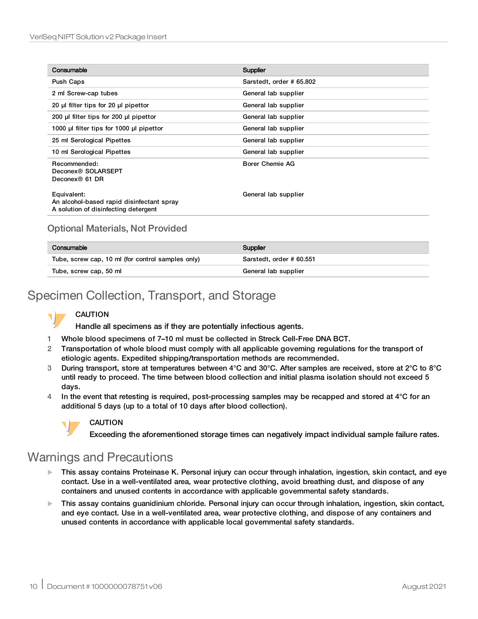| Consumable                                                                                       | Supplier                 |
|--------------------------------------------------------------------------------------------------|--------------------------|
| Push Caps                                                                                        | Sarstedt, order # 65.802 |
| 2 ml Screw-cap tubes                                                                             | General lab supplier     |
| 20 µl filter tips for 20 µl pipettor                                                             | General lab supplier     |
| 200 µl filter tips for 200 µl pipettor                                                           | General lab supplier     |
| 1000 µ filter tips for 1000 µ pipettor                                                           | General lab supplier     |
| 25 ml Serological Pipettes                                                                       | General lab supplier     |
| 10 ml Serological Pipettes                                                                       | General lab supplier     |
| Recommended:<br>Deconex® SOLARSEPT<br>Deconex <sup>®</sup> 61 DR                                 | <b>Borer Chemie AG</b>   |
| Equivalent:<br>An alcohol-based rapid disinfectant spray<br>A solution of disinfecting detergent | General lab supplier     |

## Optional Materials, Not Provided

| Consumable                                        | Supplier                 |
|---------------------------------------------------|--------------------------|
| Tube, screw cap, 10 ml (for control samples only) | Sarstedt, order # 60.551 |
| Tube, screw cap, 50 ml                            | General lab supplier     |

# Specimen Collection, Transport, and Storage

## CAUTION

Handle all specimens as if they are potentially infectious agents.

- 1 Whole blood specimens of 7–10 ml must be collected in Streck Cell-Free DNA BCT.
- 2 Transportation of whole blood must comply with all applicable governing regulations for the transport of etiologic agents. Expedited shipping/transportation methods are recommended.
- 3 During transport, store at temperatures between 4°C and 30°C. After samples are received, store at 2°C to 8°C until ready to proceed. The time between blood collection and initial plasma isolation should not exceed 5 days.
- 4 In the event that retesting is required, post-processing samples may be recapped and stored at  $4^{\circ}$ C for an additional 5 days (up to a total of 10 days after blood collection).



### CAUTION

Exceeding the aforementioned storage times can negatively impact individual sample failure rates.

# Warnings and Precautions

- u This assay contains Proteinase K. Personal injury can occur through inhalation, ingestion, skin contact, and eye contact. Use in a well-ventilated area, wear protective clothing, avoid breathing dust, and dispose of any containers and unused contents in accordance with applicable governmental safety standards.
- $\blacktriangleright$  This assay contains guanidinium chloride. Personal injury can occur through inhalation, ingestion, skin contact, and eye contact. Use in a well-ventilated area, wear protective clothing, and dispose of any containers and unused contents in accordance with applicable local governmental safety standards.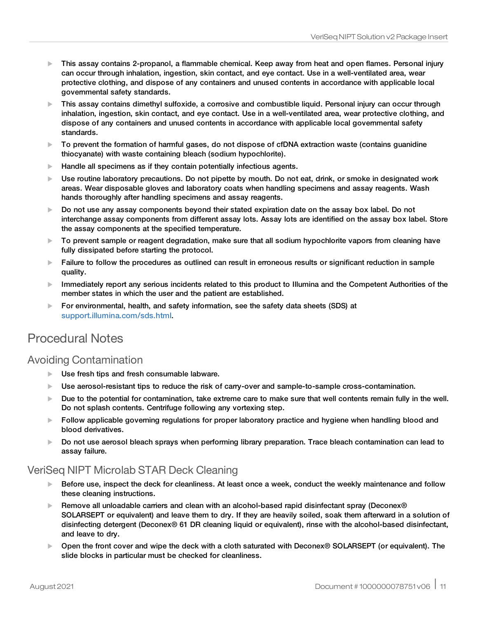- $\blacktriangleright$  This assay contains 2-propanol, a flammable chemical. Keep away from heat and open flames. Personal injury can occur through inhalation, ingestion, skin contact, and eye contact. Use in a well-ventilated area, wear protective clothing, and dispose of any containers and unused contents in accordance with applicable local governmental safety standards.
- $\blacktriangleright$  This assay contains dimethyl sulfoxide, a corrosive and combustible liquid. Personal injury can occur through inhalation, ingestion, skin contact, and eye contact. Use in a well-ventilated area, wear protective clothing, and dispose of any containers and unused contents in accordance with applicable local governmental safety standards.
- $\triangleright$  To prevent the formation of harmful gases, do not dispose of cfDNA extraction waste (contains guanidine thiocyanate) with waste containing bleach (sodium hypochlorite).
- $\blacktriangleright$  Handle all specimens as if they contain potentially infectious agents.
- $\blacktriangleright$  Use routine laboratory precautions. Do not pipette by mouth. Do not eat, drink, or smoke in designated work areas. Wear disposable gloves and laboratory coats when handling specimens and assay reagents. Wash hands thoroughly after handling specimens and assay reagents.
- $\triangleright$  Do not use any assay components beyond their stated expiration date on the assay box label. Do not interchange assay components from different assay lots. Assay lots are identified on the assay box label. Store the assay components at the specified temperature.
- $\blacktriangleright$  To prevent sample or reagent degradation, make sure that all sodium hypochlorite vapors from cleaning have fully dissipated before starting the protocol.
- $\blacktriangleright$  Failure to follow the procedures as outlined can result in erroneous results or significant reduction in sample quality.
- Immediately report any serious incidents related to this product to Illumina and the Competent Authorities of the member states in which the user and the patient are established.
- $\triangleright$  For environmental, health, and safety information, see the safety data sheets (SDS) at [support.illumina.com/sds.html](http://support.illumina.com/sds.html).

# Procedural Notes

## Avoiding Contamination

- Use fresh tips and fresh consumable labware.
- ▶ Use aerosol-resistant tips to reduce the risk of carry-over and sample-to-sample cross-contamination.
- $\blacktriangleright$  Due to the potential for contamination, take extreme care to make sure that well contents remain fully in the well. Do not splash contents. Centrifuge following any vortexing step.
- $\blacktriangleright$  Follow applicable governing regulations for proper laboratory practice and hygiene when handling blood and blood derivatives.
- $\triangleright$  Do not use aerosol bleach sprays when performing library preparation. Trace bleach contamination can lead to assay failure.

# VeriSeq NIPT Microlab STAR Deck Cleaning

- $\blacktriangleright$  Before use, inspect the deck for cleanliness. At least once a week, conduct the weekly maintenance and follow these cleaning instructions.
- Exemove all unloadable carriers and clean with an alcohol-based rapid disinfectant spray (Deconex® SOLARSEPT or equivalent) and leave them to dry. If they are heavily soiled, soak them afterward in a solution of disinfecting detergent (Deconex® 61 DR cleaning liquid or equivalent), rinse with the alcohol-based disinfectant, and leave to dry.
- ▶ Open the front cover and wipe the deck with a cloth saturated with Deconex® SOLARSEPT (or equivalent). The slide blocks in particular must be checked for cleanliness.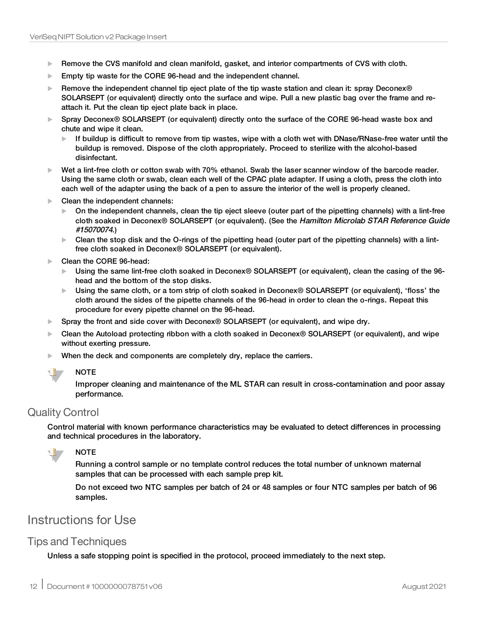- $\blacktriangleright$  Remove the CVS manifold and clean manifold, gasket, and interior compartments of CVS with cloth.
- $\blacktriangleright$  Empty tip waste for the CORE 96-head and the independent channel.
- Exemove the independent channel tip eject plate of the tip waste station and clean it: spray Deconex® SOLARSEPT (or equivalent) directly onto the surface and wipe. Pull a new plastic bag over the frame and reattach it. Put the clean tip eject plate back in place.
- ▶ Spray Deconex<sup>®</sup> SOLARSEPT (or equivalent) directly onto the surface of the CORE 96-head waste box and chute and wipe it clean.
	- If buildup is difficult to remove from tip wastes, wipe with a cloth wet with DNase/RNase-free water until the buildup is removed. Dispose of the cloth appropriately. Proceed to sterilize with the alcohol-based disinfectant.
- $\blacktriangleright$  Wet a lint-free cloth or cotton swab with 70% ethanol. Swab the laser scanner window of the barcode reader. Using the same cloth or swab, clean each well of the CPAC plate adapter. If using a cloth, press the cloth into each well of the adapter using the back of a pen to assure the interior of the well is properly cleaned.
- $\blacktriangleright$  Clean the independent channels:
	- $\triangleright$  On the independent channels, clean the tip eject sleeve (outer part of the pipetting channels) with a lint-free cloth soaked in Deconex® SOLARSEPT (or equivalent). (See the Hamilton Microlab STAR Reference Guide #15070074.)
	- $\triangleright$  Clean the stop disk and the O-rings of the pipetting head (outer part of the pipetting channels) with a lintfree cloth soaked in Deconex® SOLARSEPT (or equivalent).
- Clean the CORE 96-head:
	- ► Using the same lint-free cloth soaked in Deconex<sup>®</sup> SOLARSEPT (or equivalent), clean the casing of the 96head and the bottom of the stop disks.
	- ▶ Using the same cloth, or a torn strip of cloth soaked in Deconex<sup>®</sup> SOLARSEPT (or equivalent), 'floss' the cloth around the sides of the pipette channels of the 96-head in order to clean the o-rings. Repeat this procedure for every pipette channel on the 96-head.
- $\triangleright$  Spray the front and side cover with Deconex® SOLARSEPT (or equivalent), and wipe dry.
- ▶ Clean the Autoload protecting ribbon with a cloth soaked in Deconex<sup>®</sup> SOLARSEPT (or equivalent), and wipe without exerting pressure.
- $\blacktriangleright$  When the deck and components are completely dry, replace the carriers.



Improper cleaning and maintenance of the ML STAR can result in cross-contamination and poor assay performance.

## Quality Control

Control material with known performance characteristics may be evaluated to detect differences in processing and technical procedures in the laboratory.



Running a control sample or no template control reduces the total number of unknown maternal samples that can be processed with each sample prep kit.

Do not exceed two NTC samples per batch of 24 or 48 samples or four NTC samples per batch of 96 samples.

# Instructions for Use

# Tips and Techniques

Unless a safe stopping point is specified in the protocol, proceed immediately to the next step.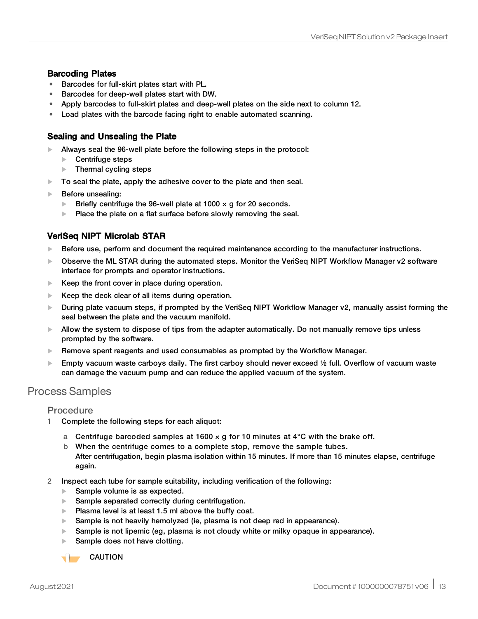### Barcoding Plates

- Barcodes for full-skirt plates start with PL.
- Barcodes for deep-well plates start with DW.
- Apply barcodes to full-skirt plates and deep-well plates on the side next to column 12.
- Load plates with the barcode facing right to enable automated scanning.

### Sealing and Unsealing the Plate

- $\blacktriangleright$  Always seal the 96-well plate before the following steps in the protocol:
	- Centrifuge steps
	- $\blacktriangleright$  Thermal cycling steps
- $\triangleright$  To seal the plate, apply the adhesive cover to the plate and then seal.
- $\blacktriangleright$  Before unsealing:
	- $\blacktriangleright$  Briefly centrifuge the 96-well plate at 1000  $\times$  g for 20 seconds.
	- $\blacktriangleright$  Place the plate on a flat surface before slowly removing the seal.

## VeriSeq NIPT Microlab STAR

- $\blacktriangleright$  Before use, perform and document the required maintenance according to the manufacturer instructions.
- ▶ Observe the ML STAR during the automated steps. Monitor the VeriSeq NIPT Workflow Manager v2 software interface for prompts and operator instructions.
- $\blacktriangleright$  Keep the front cover in place during operation.
- $\blacktriangleright$  Keep the deck clear of all items during operation.
- $\blacktriangleright$  During plate vacuum steps, if prompted by the VeriSeg NIPT Workflow Manager v2, manually assist forming the seal between the plate and the vacuum manifold.
- $\blacktriangleright$  Allow the system to dispose of tips from the adapter automatically. Do not manually remove tips unless prompted by the software.
- $\blacktriangleright$  Remove spent reagents and used consumables as prompted by the Workflow Manager.
- Empty vacuum waste carboys daily. The first carboy should never exceed  $\frac{1}{2}$  full. Overflow of vacuum waste can damage the vacuum pump and can reduce the applied vacuum of the system.

# Process Samples

#### Procedure

- 1 Complete the following steps for each aliquot:
	- a Centrifuge barcoded samples at 1600  $\times$  g for 10 minutes at 4°C with the brake off.
	- b When the centrifuge comes to a complete stop, remove the sample tubes. After centrifugation, begin plasma isolation within 15 minutes. If more than 15 minutes elapse, centrifuge again.
- 2 Inspect each tube for sample suitability, including verification of the following:
	- $\blacktriangleright$  Sample volume is as expected.
	- $\blacktriangleright$  Sample separated correctly during centrifugation.
	- $\blacktriangleright$  Plasma level is at least 1.5 ml above the buffy coat.
	- $\blacktriangleright$  Sample is not heavily hemolyzed (ie, plasma is not deep red in appearance).
	- $\blacktriangleright$  Sample is not lipemic (eg, plasma is not cloudy white or milky opaque in appearance).
	- Sample does not have clotting.

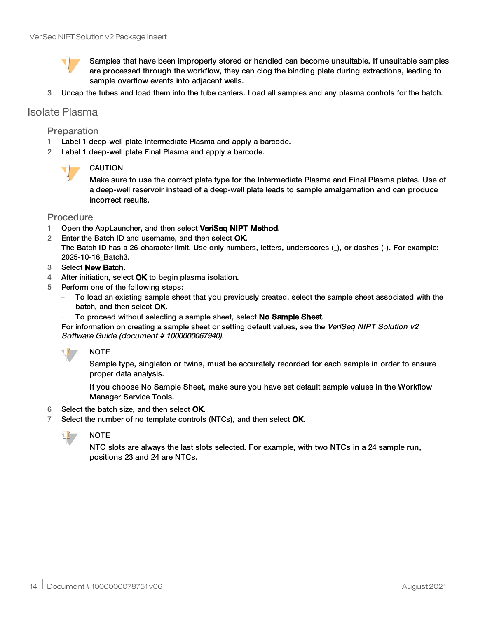Samples that have been improperly stored or handled can become unsuitable. If unsuitable samples are processed through the workflow, they can clog the binding plate during extractions, leading to sample overflow events into adjacent wells.

3 Uncap the tubes and load them into the tube carriers. Load all samples and any plasma controls for the batch.

## Isolate Plasma

#### Preparation

- 1 Label 1 deep-well plate Intermediate Plasma and apply a barcode.
- 2 Label 1 deep-well plate Final Plasma and apply a barcode.



#### CAUTION

Make sure to use the correct plate type for the Intermediate Plasma and Final Plasma plates. Use of a deep-well reservoir instead of a deep-well plate leads to sample amalgamation and can produce incorrect results.

#### Procedure

- 1 Open the AppLauncher, and then select VeriSeq NIPT Method.
- 2 Enter the Batch ID and username, and then select OK. The Batch ID has a 26-character limit. Use only numbers, letters, underscores (\_), or dashes (-). For example: 2025-10-16\_Batch3.
- 3 Select New Batch.
- 4 After initiation, select  $OK$  to begin plasma isolation.
- 5 Perform one of the following steps:
	- To load an existing sample sheet that you previously created, select the sample sheet associated with the batch, and then select OK.
	- To proceed without selecting a sample sheet, select No Sample Sheet.

For information on creating a sample sheet or setting default values, see the VeriSeq NIPT Solution v2 Software Guide (document # 1000000067940).



**NOTE** 

Sample type, singleton or twins, must be accurately recorded for each sample in order to ensure proper data analysis.

If you choose No Sample Sheet, make sure you have set default sample values in the Workflow Manager Service Tools.

- 6 Select the batch size, and then select OK.
- 7 Select the number of no template controls (NTCs), and then select OK.



## NOTE

NTC slots are always the last slots selected. For example, with two NTCs in a 24 sample run, positions 23 and 24 are NTCs.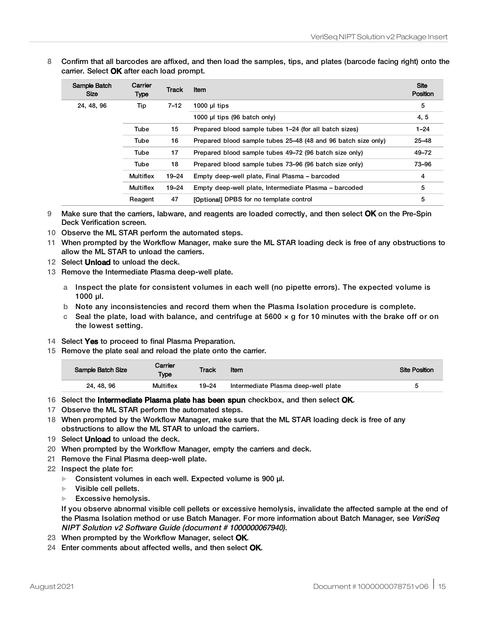8 Confirm that all barcodes are affixed, and then load the samples, tips, and plates (barcode facing right) onto the carrier. Select OK after each load prompt.

| Sample Batch<br><b>Size</b> | Carrier<br>Type  | <b>Track</b> | Item                                                          | <b>Site</b><br>Position |
|-----------------------------|------------------|--------------|---------------------------------------------------------------|-------------------------|
| 24, 48, 96                  | Tip              | $7 - 12$     | 1000 $\mu$ I tips                                             | 5                       |
|                             |                  |              | 1000 µl tips (96 batch only)                                  | 4, 5                    |
|                             | Tube             | 15           | Prepared blood sample tubes 1–24 (for all batch sizes)        | $1 - 24$                |
|                             | Tube             | 16           | Prepared blood sample tubes 25–48 (48 and 96 batch size only) | $25 - 48$               |
|                             | Tube             | 17           | Prepared blood sample tubes 49–72 (96 batch size only)        | $49 - 72$               |
|                             | Tube             | 18           | Prepared blood sample tubes 73-96 (96 batch size only)        | 73-96                   |
|                             | <b>Multiflex</b> | $19 - 24$    | Empty deep-well plate, Final Plasma - barcoded                | 4                       |
|                             | <b>Multiflex</b> | $19 - 24$    | Empty deep-well plate, Intermediate Plasma – barcoded         | 5                       |
|                             | Reagent          | 47           | <b>[Optional] DPBS for no template control</b>                | 5                       |

9 Make sure that the carriers, labware, and reagents are loaded correctly, and then select OK on the Pre-Spin Deck Verification screen.

- 10 Observe the ML STAR perform the automated steps.
- 11 When prompted by the Workflow Manager, make sure the ML STAR loading deck is free of any obstructions to allow the ML STAR to unload the carriers.
- 12 Select **Unload** to unload the deck.
- 13 Remove the Intermediate Plasma deep-well plate.
	- a Inspect the plate for consistent volumes in each well (no pipette errors). The expected volume is 1000 µl.
	- b Note any inconsistencies and record them when the Plasma Isolation procedure is complete.
	- c Seal the plate, load with balance, and centrifuge at  $5600 \times g$  for 10 minutes with the brake off or on the lowest setting.
- 14 Select Yes to proceed to final Plasma Preparation.
- 15 Remove the plate seal and reload the plate onto the carrier.

| Sample Batch Size | Carrier<br><b>Type</b> | Track | Item                                | <b>Site Position</b> |
|-------------------|------------------------|-------|-------------------------------------|----------------------|
| 24, 48, 96        | Multiflex              | 19–24 | Intermediate Plasma deep-well plate |                      |

- 16 Select the **Intermediate Plasma plate has been spun** checkbox, and then select **OK**.
- 17 Observe the ML STAR perform the automated steps.
- 18 When prompted by the Workflow Manager, make sure that the ML STAR loading deck is free of any obstructions to allow the ML STAR to unload the carriers.
- 19 Select Unload to unload the deck.
- 20 When prompted by the Workflow Manager, empty the carriers and deck.
- 21 Remove the Final Plasma deep-well plate.
- 22 Inspect the plate for:
	- $\triangleright$  Consistent volumes in each well. Expected volume is 900 µl.
	- $\blacktriangleright$  Visible cell pellets.
	- $\blacktriangleright$  Excessive hemolysis.

If you observe abnormal visible cell pellets or excessive hemolysis, invalidate the affected sample at the end of the Plasma Isolation method or use Batch Manager. For more information about Batch Manager, see VeriSeq NIPT Solution v2 Software Guide (document # 1000000067940).

- 23 When prompted by the Workflow Manager, select OK.
- 24 Enter comments about affected wells, and then select OK.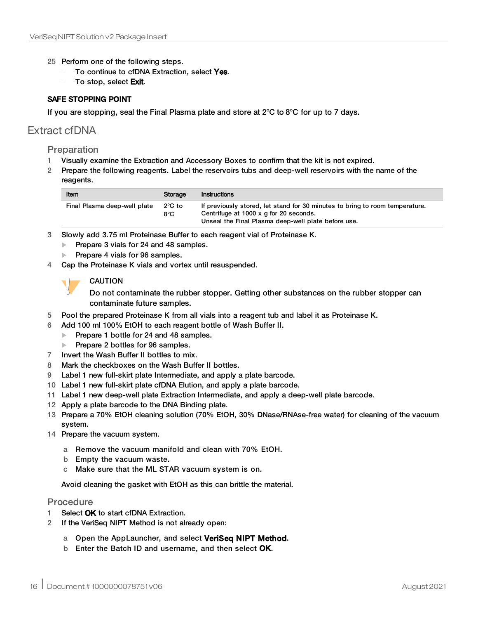- 25 Perform one of the following steps.
	- To continue to cfDNA Extraction, select Yes.
	- To stop, select Exit.

#### SAFE STOPPING POINT

If you are stopping, seal the Final Plasma plate and store at  $2^{\circ}C$  to  $8^{\circ}C$  for up to 7 days.

## Extract cfDNA

#### Preparation

- 1 Visually examine the Extraction and Accessory Boxes to confirm that the kit is not expired.
- 2 Prepare the following reagents. Label the reservoirs tubs and deep-well reservoirs with the name of the reagents.

| Item                         | Storage                           | Instructions                                                                                                                                                                  |
|------------------------------|-----------------------------------|-------------------------------------------------------------------------------------------------------------------------------------------------------------------------------|
| Final Plasma deep-well plate | $2^{\circ}$ C to<br>$8^{\circ}$ C | If previously stored, let stand for 30 minutes to bring to room temperature.<br>Centrifuge at 1000 x g for 20 seconds.<br>Unseal the Final Plasma deep-well plate before use. |

- 3 Slowly add 3.75 ml Proteinase Buffer to each reagent vial of Proteinase K.
	- Prepare 3 vials for 24 and 48 samples.
	- Prepare 4 vials for 96 samples.
- 4 Cap the Proteinase K vials and vortex until resuspended.



#### **CAUTION**

Do not contaminate the rubber stopper. Getting other substances on the rubber stopper can contaminate future samples.

- 5 Pool the prepared Proteinase K from all vials into a reagent tub and label it as Proteinase K.
- 6 Add 100 ml 100% EtOH to each reagent bottle of Wash Buffer II.
	- Prepare 1 bottle for 24 and 48 samples.
	- Prepare 2 bottles for 96 samples.
- 7 Invert the Wash Buffer II bottles to mix.
- 8 Mark the checkboxes on the Wash Buffer II bottles.
- 9 Label 1 new full-skirt plate Intermediate, and apply a plate barcode.
- 10 Label 1 new full-skirt plate cfDNA Elution, and apply a plate barcode.
- 11 Label 1 new deep-well plate Extraction Intermediate, and apply a deep-well plate barcode.
- 12 Apply a plate barcode to the DNA Binding plate.
- 13 Prepare a 70% EtOH cleaning solution (70% EtOH, 30% DNase/RNAse-free water) for cleaning of the vacuum system.
- 14 Prepare the vacuum system.
	- a Remove the vacuum manifold and clean with 70% EtOH.
	- b Empty the vacuum waste.
	- c Make sure that the ML STAR vacuum system is on.

Avoid cleaning the gasket with EtOH as this can brittle the material.

#### Procedure

- 1 Select OK to start cfDNA Extraction.
- 2 If the VeriSeq NIPT Method is not already open:
	- a Open the AppLauncher, and select VeriSeq NIPT Method.
	- b Enter the Batch ID and username, and then select OK.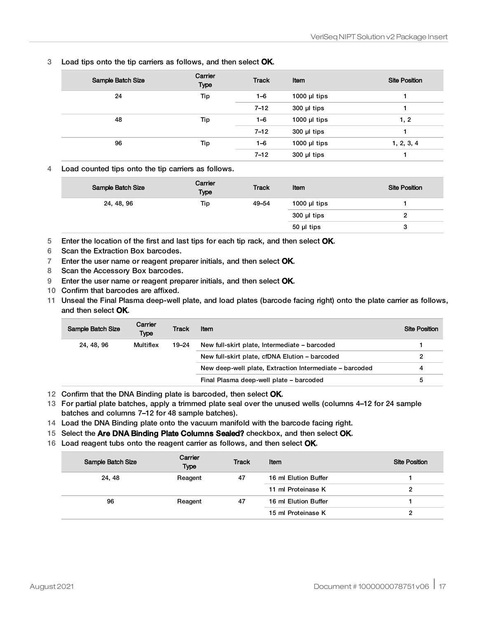3 Load tips onto the tip carriers as follows, and then select OK.

| Sample Batch Size | Carrier<br><b>Type</b> | <b>Track</b> | Item              | <b>Site Position</b> |
|-------------------|------------------------|--------------|-------------------|----------------------|
| 24                | Tip                    | $1 - 6$      | 1000 $\mu$ I tips |                      |
|                   |                        | $7 - 12$     | $300$ µl tips     |                      |
| 48                | Tip                    | $1 - 6$      | 1000 $\mu$ I tips | 1, 2                 |
|                   |                        | $7 - 12$     | $300$ µl tips     |                      |
| 96                | Tip                    | $1 - 6$      | 1000 $\mu$ I tips | 1, 2, 3, 4           |
|                   |                        | $7 - 12$     | $300$ µl tips     |                      |

4 Load counted tips onto the tip carriers as follows.

| Sample Batch Size | Carrier<br><b>Type</b> | <b>Track</b> | Item              | <b>Site Position</b> |
|-------------------|------------------------|--------------|-------------------|----------------------|
| 24, 48, 96        | Tip                    | 49-54        | 1000 $\mu$ I tips |                      |
|                   |                        |              | $300$ µl tips     |                      |
|                   |                        |              | 50 µl tips        | د                    |

5 Enter the location of the first and last tips for each tip rack, and then select OK.

- 6 Scan the Extraction Box barcodes.
- 7 Enter the user name or reagent preparer initials, and then select OK.
- 8 Scan the Accessory Box barcodes.
- 9 Enter the user name or reagent preparer initials, and then select OK.
- 10 Confirm that barcodes are affixed.
- 11 Unseal the Final Plasma deep-well plate, and load plates (barcode facing right) onto the plate carrier as follows, and then select OK.

| Sample Batch Size | Carrier<br><b>Type</b> | Track | Item                                                    | <b>Site Position</b> |
|-------------------|------------------------|-------|---------------------------------------------------------|----------------------|
| 24, 48, 96        | Multiflex              | 19–24 | New full-skirt plate, Intermediate - barcoded           |                      |
|                   |                        |       | New full-skirt plate, cfDNA Elution - barcoded          |                      |
|                   |                        |       | New deep-well plate, Extraction Intermediate – barcoded |                      |
|                   |                        |       | Final Plasma deep-well plate – barcoded                 | b                    |

12 Confirm that the DNA Binding plate is barcoded, then select OK.

- 13 For partial plate batches, apply a trimmed plate seal over the unused wells (columns 4–12 for 24 sample batches and columns 7–12 for 48 sample batches).
- 14 Load the DNA Binding plate onto the vacuum manifold with the barcode facing right.
- 15 Select the Are DNA Binding Plate Columns Sealed? checkbox, and then select OK.
- 16 Load reagent tubs onto the reagent carrier as follows, and then select OK.

| Sample Batch Size | Carrier<br>Type | <b>Track</b> | Item                 | <b>Site Position</b> |
|-------------------|-----------------|--------------|----------------------|----------------------|
| 24, 48            | Reagent         | 47           | 16 ml Elution Buffer |                      |
|                   |                 |              | 11 ml Proteinase K   | 2                    |
| 96                | Reagent         | 47           | 16 ml Elution Buffer |                      |
|                   |                 |              | 15 ml Proteinase K   | 2                    |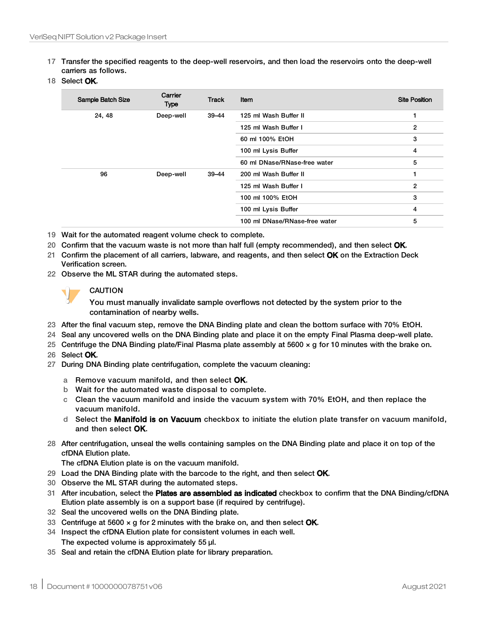17 Transfer the specified reagents to the deep-well reservoirs, and then load the reservoirs onto the deep-well carriers as follows.

#### 18 Select OK.

| Sample Batch Size | Carrier<br>Type | <b>Track</b> | Item                          | <b>Site Position</b> |
|-------------------|-----------------|--------------|-------------------------------|----------------------|
| 24, 48            | Deep-well       | $39 - 44$    | 125 ml Wash Buffer II         | 1                    |
|                   |                 |              | 125 ml Wash Buffer I          | 2                    |
|                   |                 |              | 60 ml 100% EtOH               | 3                    |
|                   |                 |              | 100 ml Lysis Buffer           | 4                    |
|                   |                 |              | 60 ml DNase/RNase-free water  | 5                    |
| 96                | Deep-well       | $39 - 44$    | 200 ml Wash Buffer II         | 1                    |
|                   |                 |              | 125 ml Wash Buffer I          | $\overline{2}$       |
|                   |                 |              | 100 ml 100% EtOH              | 3                    |
|                   |                 |              | 100 ml Lysis Buffer           | 4                    |
|                   |                 |              | 100 ml DNase/RNase-free water | 5                    |

- 19 Wait for the automated reagent volume check to complete.
- 20 Confirm that the vacuum waste is not more than half full (empty recommended), and then select OK.
- 21 Confirm the placement of all carriers, labware, and reagents, and then select OK on the Extraction Deck Verification screen.
- 22 Observe the ML STAR during the automated steps.

#### CAUTION

You must manually invalidate sample overflows not detected by the system prior to the contamination of nearby wells.

- 23 After the final vacuum step, remove the DNA Binding plate and clean the bottom surface with 70% EtOH.
- 24 Seal any uncovered wells on the DNA Binding plate and place it on the empty Final Plasma deep-well plate.
- 25 Centrifuge the DNA Binding plate/Final Plasma plate assembly at 5600 × g for 10 minutes with the brake on.
- 26 Select OK.
- 27 During DNA Binding plate centrifugation, complete the vacuum cleaning:
	- a Remove vacuum manifold, and then select OK.
	- b Wait for the automated waste disposal to complete.
	- c Clean the vacuum manifold and inside the vacuum system with 70% EtOH, and then replace the vacuum manifold.
	- d Select the Manifold is on Vacuum checkbox to initiate the elution plate transfer on vacuum manifold, and then select OK.
- 28 After centrifugation, unseal the wells containing samples on the DNA Binding plate and place it on top of the cfDNA Elution plate.

The cfDNA Elution plate is on the vacuum manifold.

- 29 Load the DNA Binding plate with the barcode to the right, and then select  $OK$ .
- 30 Observe the ML STAR during the automated steps.
- 31 After incubation, select the **Plates are assembled as indicated** checkbox to confirm that the DNA Binding/cfDNA Elution plate assembly is on a support base (if required by centrifuge).
- 32 Seal the uncovered wells on the DNA Binding plate.
- 33 Centrifuge at 5600  $\times$  g for 2 minutes with the brake on, and then select OK.
- 34 Inspect the cfDNA Elution plate for consistent volumes in each well. The expected volume is approximately 55 µl.
- 35 Seal and retain the cfDNA Elution plate for library preparation.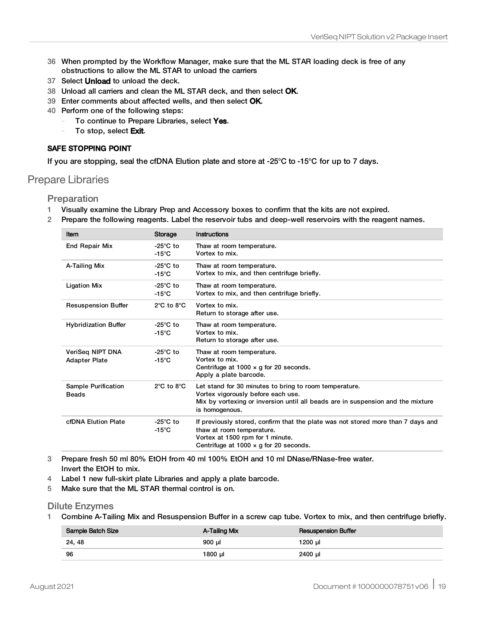- 36 When prompted by the Workflow Manager, make sure that the ML STAR loading deck is free of any obstructions to allow the ML STAR to unload the carriers
- 37 Select **Unload** to unload the deck.
- 38 Unload all carriers and clean the ML STAR deck, and then select OK.
- 39 Enter comments about affected wells, and then select OK.
- 40 Perform one of the following steps:
	- To continue to Prepare Libraries, select Yes.
	- To stop, select Exit.

#### SAFE STOPPING POINT

If you are stopping, seal the cfDNA Elution plate and store at -25°C to -15°C for up to 7 days.

### Prepare Libraries

Preparation

- 1 Visually examine the Library Prep and Accessory boxes to confirm that the kits are not expired.
- 2 Prepare the following reagents. Label the reservoir tubs and deep-well reservoirs with the reagent names.

| Item                                     | Storage                                | Instructions                                                                                                                                                                                       |
|------------------------------------------|----------------------------------------|----------------------------------------------------------------------------------------------------------------------------------------------------------------------------------------------------|
| <b>End Repair Mix</b>                    | -25 $^{\circ}$ C to<br>$-15^{\circ}$ C | Thaw at room temperature.<br>Vortex to mix.                                                                                                                                                        |
| A-Tailing Mix                            | -25 $^{\circ}$ C to<br>$-15^{\circ}$ C | Thaw at room temperature.<br>Vortex to mix, and then centrifuge briefly.                                                                                                                           |
| <b>Ligation Mix</b>                      | $-25^{\circ}$ C to<br>$-15^{\circ}$ C  | Thaw at room temperature.<br>Vortex to mix, and then centrifuge briefly.                                                                                                                           |
| <b>Resuspension Buffer</b>               | $2^{\circ}$ C to $8^{\circ}$ C         | Vortex to mix.<br>Return to storage after use.                                                                                                                                                     |
| <b>Hybridization Buffer</b>              | -25 $^{\circ}$ C to<br>$-15^{\circ}$ C | Thaw at room temperature.<br>Vortex to mix.<br>Return to storage after use.                                                                                                                        |
| VeriSeg NIPT DNA<br><b>Adapter Plate</b> | $-25^{\circ}$ C to<br>$-15^{\circ}$ C  | Thaw at room temperature.<br>Vortex to mix.<br>Centrifuge at $1000 \times g$ for 20 seconds.<br>Apply a plate barcode.                                                                             |
| Sample Purification<br><b>Beads</b>      | $2^{\circ}$ C to $8^{\circ}$ C         | Let stand for 30 minutes to bring to room temperature.<br>Vortex vigorously before each use.<br>Mix by vortexing or inversion until all beads are in suspension and the mixture<br>is homogenous.  |
| cfDNA Elution Plate                      | -25 $^{\circ}$ C to<br>$-15^{\circ}$ C | If previously stored, confirm that the plate was not stored more than 7 days and<br>thaw at room temperature.<br>Vortex at 1500 rpm for 1 minute.<br>Centrifuge at 1000 $\times$ g for 20 seconds. |

3 Prepare fresh 50 ml 80% EtOH from 40 ml 100% EtOH and 10 ml DNase/RNase-free water. Invert the EtOH to mix.

- 4 Label 1 new full-skirt plate Libraries and apply a plate barcode.
- 5 Make sure that the ML STAR thermal control is on.

#### Dilute Enzymes

1 Combine A-Tailing Mix and Resuspension Buffer in a screw cap tube. Vortex to mix, and then centrifuge briefly.

| Sample Batch Size | A-Tailing Mix | <b>Resuspension Buffer</b> |
|-------------------|---------------|----------------------------|
| 24, 48            | 900 µl        | 1200 µl                    |
| -96               | 1800 ul       | 2400 µl                    |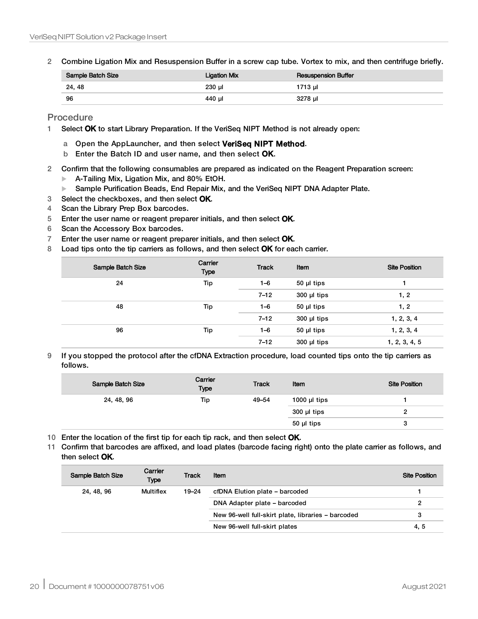2 Combine Ligation Mix and Resuspension Buffer in a screw cap tube. Vortex to mix, and then centrifuge briefly.

| Sample Batch Size | <b>Ligation Mix</b> | <b>Resuspension Buffer</b> |
|-------------------|---------------------|----------------------------|
| 24, 48            | 230 µl              | 1713 µl                    |
| -96               | 440 µl              | 3278 ul                    |

Procedure

- 1 Select OK to start Library Preparation. If the VeriSeq NIPT Method is not already open:
	- a Open the AppLauncher, and then select VeriSeq NIPT Method.
	- b Enter the Batch ID and user name, and then select OK.
- 2 Confirm that the following consumables are prepared as indicated on the Reagent Preparation screen:
	- $\blacktriangleright$  A-Tailing Mix, Ligation Mix, and 80% EtOH.
	- **EXECT ADAPTER PURIFICATION BEADS, End Repair Mix, and the VeriSeq NIPT DNA Adapter Plate.**
- 3 Select the checkboxes, and then select OK.
- 4 Scan the Library Prep Box barcodes.
- 5 Enter the user name or reagent preparer initials, and then select OK.
- 6 Scan the Accessory Box barcodes.
- 7 Enter the user name or reagent preparer initials, and then select OK.
- 8 Load tips onto the tip carriers as follows, and then select OK for each carrier.

| Sample Batch Size | Carrier<br>Type | <b>Track</b> | Item          | <b>Site Position</b> |
|-------------------|-----------------|--------------|---------------|----------------------|
| 24                | Tip             | $1 - 6$      | 50 µl tips    |                      |
|                   |                 | $7 - 12$     | 300 µl tips   | 1, 2                 |
| 48                | Tip             | $1 - 6$      | 50 µl tips    | 1, 2                 |
|                   |                 | $7 - 12$     | $300$ µl tips | 1, 2, 3, 4           |
| 96                | Tip             | $1 - 6$      | 50 µl tips    | 1, 2, 3, 4           |
|                   |                 | $7 - 12$     | $300$ µl tips | 1, 2, 3, 4, 5        |

9 If you stopped the protocol after the cfDNA Extraction procedure, load counted tips onto the tip carriers as follows.

| Sample Batch Size | Carrier<br><b>Type</b> | <b>Track</b> | Item              | <b>Site Position</b> |
|-------------------|------------------------|--------------|-------------------|----------------------|
| 24, 48, 96        | Tip                    | 49-54        | 1000 $\mu$ I tips |                      |
|                   |                        |              | $300$ µl tips     |                      |
|                   |                        |              | 50 µl tips        | 3                    |

- 10 Enter the location of the first tip for each tip rack, and then select OK.
- 11 Confirm that barcodes are affixed, and load plates (barcode facing right) onto the plate carrier as follows, and then select OK.

| Sample Batch Size | Carrier<br><b>Type</b> | <b>Track</b> | Item                                               | <b>Site Position</b> |
|-------------------|------------------------|--------------|----------------------------------------------------|----------------------|
| 24, 48, 96        | Multiflex              | 19–24        | cfDNA Elution plate - barcoded                     |                      |
|                   |                        |              | DNA Adapter plate - barcoded                       | 2                    |
|                   |                        |              | New 96-well full-skirt plate, libraries - barcoded | 3                    |
|                   |                        |              | New 96-well full-skirt plates                      | 4, 5                 |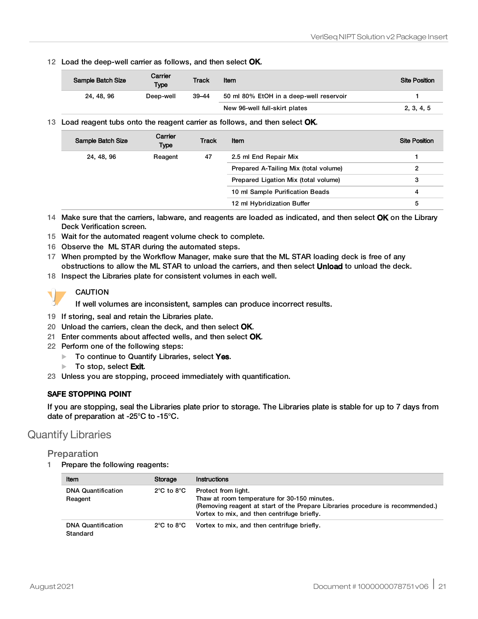12 Load the deep-well carrier as follows, and then select OK.

| Sample Batch Size | Carrier<br>Type | <b>Track</b> | Item                                    | <b>Site Position</b> |
|-------------------|-----------------|--------------|-----------------------------------------|----------------------|
| 24, 48, 96        | Deep-well       | $39 - 44$    | 50 ml 80% EtOH in a deep-well reservoir |                      |
|                   |                 |              | New 96-well full-skirt plates           | 2, 3, 4, 5           |

13 Load reagent tubs onto the reagent carrier as follows, and then select OK.

| Sample Batch Size | Carrier<br><b>Type</b> | <b>Track</b> | Item                                  | <b>Site Position</b> |
|-------------------|------------------------|--------------|---------------------------------------|----------------------|
| 24, 48, 96        | Reagent                | 47           | 2.5 ml End Repair Mix                 |                      |
|                   |                        |              | Prepared A-Tailing Mix (total volume) |                      |
|                   |                        |              | Prepared Ligation Mix (total volume)  | 3                    |
|                   |                        |              | 10 ml Sample Purification Beads       | 4                    |
|                   |                        |              | 12 ml Hybridization Buffer            | 5                    |

14 Make sure that the carriers, labware, and reagents are loaded as indicated, and then select OK on the Library Deck Verification screen.

- 15 Wait for the automated reagent volume check to complete.
- 16 Observe the ML STAR during the automated steps.
- 17 When prompted by the Workflow Manager, make sure that the ML STAR loading deck is free of any obstructions to allow the ML STAR to unload the carriers, and then select Unload to unload the deck.
- 18 Inspect the Libraries plate for consistent volumes in each well.



#### CAUTION

If well volumes are inconsistent, samples can produce incorrect results.

- 19 If storing, seal and retain the Libraries plate.
- 20 Unload the carriers, clean the deck, and then select OK.
- 21 Enter comments about affected wells, and then select OK.
- 22 Perform one of the following steps:
	- $\blacktriangleright$  To continue to Quantify Libraries, select Yes.
	- $\blacktriangleright$  To stop, select **Exit.**
- 23 Unless you are stopping, proceed immediately with quantification.

### SAFE STOPPING POINT

If you are stopping, seal the Libraries plate prior to storage. The Libraries plate is stable for up to 7 days from date of preparation at -25°C to -15°C.

# Quantify Libraries

#### <span id="page-20-0"></span>Preparation

1 Prepare the following reagents:

| ltem                                  | Storage                        | Instructions                                                                                                                                                                                         |
|---------------------------------------|--------------------------------|------------------------------------------------------------------------------------------------------------------------------------------------------------------------------------------------------|
| <b>DNA Quantification</b><br>Reagent  | $2^{\circ}$ C to $8^{\circ}$ C | Protect from light.<br>Thaw at room temperature for 30-150 minutes.<br>(Removing reagent at start of the Prepare Libraries procedure is recommended.)<br>Vortex to mix, and then centrifuge briefly. |
| <b>DNA Quantification</b><br>Standard | $2^{\circ}$ C to $8^{\circ}$ C | Vortex to mix, and then centrifuge briefly.                                                                                                                                                          |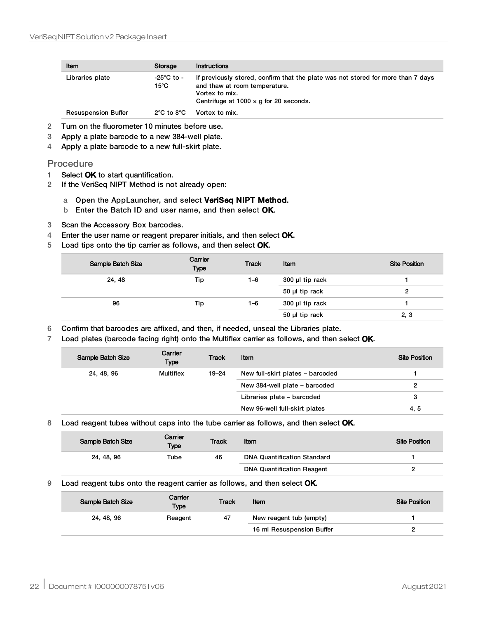| Item                       | Storage                        | <b>Instructions</b>                                                                                                                                                                  |
|----------------------------|--------------------------------|--------------------------------------------------------------------------------------------------------------------------------------------------------------------------------------|
| Libraries plate            | -25°C to -<br>$15^{\circ}$ C   | If previously stored, confirm that the plate was not stored for more than 7 days<br>and thaw at room temperature.<br>Vortex to mix.<br>Centrifuge at 1000 $\times$ g for 20 seconds. |
| <b>Resuspension Buffer</b> | $2^{\circ}$ C to $8^{\circ}$ C | Vortex to mix.                                                                                                                                                                       |

- 2 Turn on the fluorometer 10 minutes before use.
- 3 Apply a plate barcode to a new 384-well plate.
- 4 Apply a plate barcode to a new full-skirt plate.

#### **Procedure**

- 1 Select OK to start quantification.
- 2 If the VeriSeq NIPT Method is not already open:

#### a Open the AppLauncher, and select VeriSeq NIPT Method.

- b Enter the Batch ID and user name, and then select OK.
- 3 Scan the Accessory Box barcodes.
- 4 Enter the user name or reagent preparer initials, and then select OK.
- 5 Load tips onto the tip carrier as follows, and then select OK.

| Sample Batch Size | Carrier<br><b>Type</b> | <b>Track</b> | Item            | <b>Site Position</b> |
|-------------------|------------------------|--------------|-----------------|----------------------|
| 24, 48            | Tip                    | 1–6          | 300 µl tip rack |                      |
|                   |                        |              | 50 µl tip rack  |                      |
| 96                | Tip                    | 1–6          | 300 µl tip rack |                      |
|                   |                        |              | 50 µl tip rack  | 2, 3                 |

- 6 Confirm that barcodes are affixed, and then, if needed, unseal the Libraries plate.
- 7 Load plates (barcode facing right) onto the Multiflex carrier as follows, and then select OK.

| Sample Batch Size | Carrier<br>Type | <b>Track</b> | Item                             | <b>Site Position</b> |
|-------------------|-----------------|--------------|----------------------------------|----------------------|
| 24, 48, 96        | Multiflex       | $19 - 24$    | New full-skirt plates - barcoded |                      |
|                   |                 |              | New 384-well plate - barcoded    |                      |
|                   |                 |              | Libraries plate - barcoded       | 3                    |
|                   |                 |              | New 96-well full-skirt plates    | 4, 5                 |

#### 8 Load reagent tubes without caps into the tube carrier as follows, and then select OK.

| Sample Batch Size | Carrier<br>Type | <b>Track</b> | Item                               | <b>Site Position</b> |
|-------------------|-----------------|--------------|------------------------------------|----------------------|
| 24, 48, 96        | Tube            | 46           | <b>DNA Quantification Standard</b> |                      |
|                   |                 |              | <b>DNA Quantification Reagent</b>  |                      |

#### 9 Load reagent tubs onto the reagent carrier as follows, and then select OK.

| Sample Batch Size | Carrier<br><b>Type</b> | <b>Track</b> | Item                      | <b>Site Position</b> |
|-------------------|------------------------|--------------|---------------------------|----------------------|
| 24, 48, 96        | Reagent                | 47           | New reagent tub (empty)   |                      |
|                   |                        |              | 16 ml Resuspension Buffer |                      |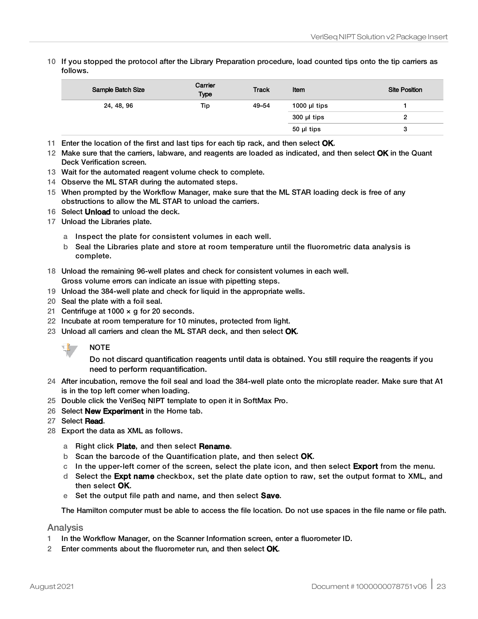10 If you stopped the protocol after the Library Preparation procedure, load counted tips onto the tip carriers as follows.

| Sample Batch Size | Carrier<br><b>Type</b> | <b>Track</b> | Item              | <b>Site Position</b> |
|-------------------|------------------------|--------------|-------------------|----------------------|
| 24, 48, 96        | Tip                    | 49-54        | 1000 $\mu$ I tips |                      |
|                   |                        |              | 300 µl tips       |                      |
|                   |                        |              | $50$ µl tips      | ت                    |

- 11 Enter the location of the first and last tips for each tip rack, and then select OK.
- 12 Make sure that the carriers, labware, and reagents are loaded as indicated, and then select OK in the Quant Deck Verification screen.
- 13 Wait for the automated reagent volume check to complete.
- 14 Observe the ML STAR during the automated steps.
- 15 When prompted by the Workflow Manager, make sure that the ML STAR loading deck is free of any obstructions to allow the ML STAR to unload the carriers.
- 16 Select Unload to unload the deck.
- 17 Unload the Libraries plate.
	- a Inspect the plate for consistent volumes in each well.
	- b Seal the Libraries plate and store at room temperature until the fluorometric data analysis is complete.
- 18 Unload the remaining 96-well plates and check for consistent volumes in each well.
- Gross volume errors can indicate an issue with pipetting steps.
- 19 Unload the 384-well plate and check for liquid in the appropriate wells.
- 20 Seal the plate with a foil seal.
- 21 Centrifuge at 1000  $\times$  g for 20 seconds.
- 22 Incubate at room temperature for 10 minutes, protected from light.
- 23 Unload all carriers and clean the ML STAR deck, and then select OK.



Do not discard quantification reagents until data is obtained. You still require the reagents if you need to perform requantification.

- 24 After incubation, remove the foil seal and load the 384-well plate onto the microplate reader. Make sure that A1 is in the top left corner when loading.
- 25 Double click the VeriSeq NIPT template to open it in SoftMax Pro.
- 26 Select **New Experiment** in the Home tab.
- 27 Select Read.
- 28 Export the data as XML as follows.
	- a Right click Plate, and then select Rename.
	- b Scan the barcode of the Quantification plate, and then select OK.
	- c In the upper-left corner of the screen, select the plate icon, and then select **Export** from the menu.
	- d Select the **Expt name** checkbox, set the plate date option to raw, set the output format to XML, and then select OK.
	- e Set the output file path and name, and then select **Save**.

The Hamilton computer must be able to access the file location. Do not use spaces in the file name or file path.

#### Analysis

- 1 In the Workflow Manager, on the Scanner Information screen, enter a fluorometer ID.
- 2 Enter comments about the fluorometer run, and then select OK.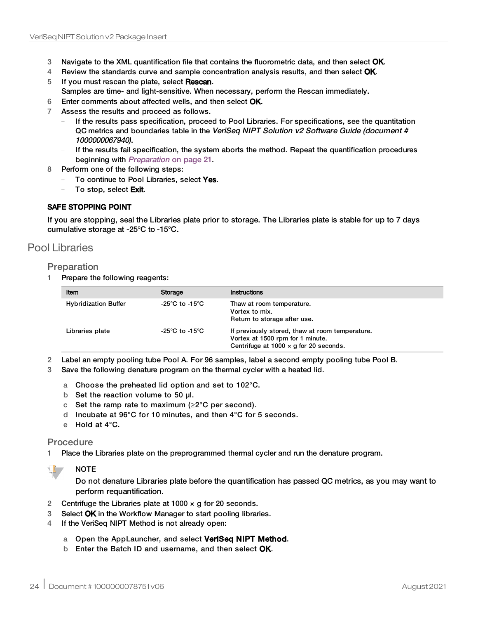- 3 Navigate to the XML quantification file that contains the fluorometric data, and then select OK.
- 4 Review the standards curve and sample concentration analysis results, and then select OK.
- 5 If you must rescan the plate, select Rescan.
- Samples are time- and light-sensitive. When necessary, perform the Rescan immediately.
- 6 Enter comments about affected wells, and then select OK.
- 7 Assess the results and proceed as follows.
	- If the results pass specification, proceed to Pool Libraries. For specifications, see the quantitation QC metrics and boundaries table in the VeriSeq NIPT Solution v2 Software Guide (document # 1000000067940).
	- If the results fail specification, the system aborts the method. Repeat the quantification procedures beginning with [Preparation](#page-20-0) on page 21.
- 8 Perform one of the following steps:
	- To continue to Pool Libraries, select Yes.
	- To stop, select Exit.

#### SAFE STOPPING POINT

If you are stopping, seal the Libraries plate prior to storage. The Libraries plate is stable for up to 7 days cumulative storage at -25°C to -15°C.

## Pool Libraries

#### Preparation

1 Prepare the following reagents:

| Item                        | Storage        | Instructions                                                                                                                         |  |
|-----------------------------|----------------|--------------------------------------------------------------------------------------------------------------------------------------|--|
| <b>Hybridization Buffer</b> | -25°C to -15°C | Thaw at room temperature.<br>Vortex to mix.<br>Return to storage after use.                                                          |  |
| Libraries plate             | -25°C to -15°C | If previously stored, thaw at room temperature.<br>Vortex at 1500 rpm for 1 minute.<br>Centrifuge at 1000 $\times$ g for 20 seconds. |  |

2 Label an empty pooling tube Pool A. For 96 samples, label a second empty pooling tube Pool B.

3 Save the following denature program on the thermal cycler with a heated lid.

- a Choose the preheated lid option and set to 102°C.
- b Set the reaction volume to 50 μl.
- c Set the ramp rate to maximum ( $\geq 2^{\circ}$ C per second).
- d Incubate at 96°C for 10 minutes, and then 4°C for 5 seconds.
- e Hold at 4°C.

#### Procedure

1 Place the Libraries plate on the preprogrammed thermal cycler and run the denature program.



## **NOTE**

Do not denature Libraries plate before the quantification has passed QC metrics, as you may want to perform requantification.

- 2 Centrifuge the Libraries plate at  $1000 \times g$  for 20 seconds.
- 3 Select OK in the Workflow Manager to start pooling libraries.
- 4 If the VeriSeq NIPT Method is not already open:
	- a Open the AppLauncher, and select VeriSeq NIPT Method.
	- b Enter the Batch ID and username, and then select OK.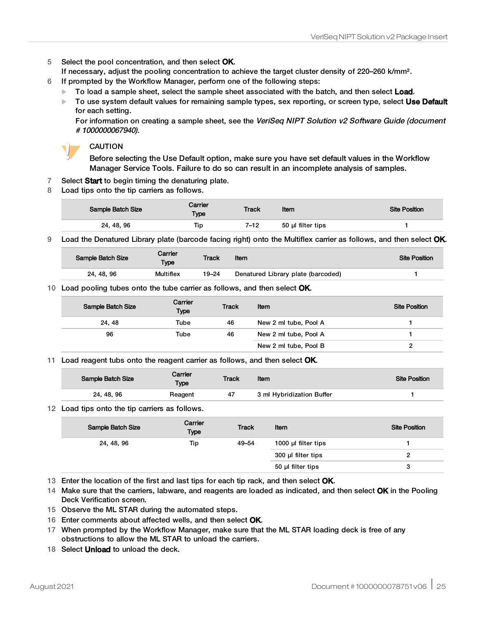5 Select the pool concentration, and then select OK.

If necessary, adjust the pooling concentration to achieve the target cluster density of 220–260 k/mm².

- 6 If prompted by the Workflow Manager, perform one of the following steps:
	- To load a sample sheet, select the sample sheet associated with the batch, and then select Load.
	- To use system default values for remaining sample types, sex reporting, or screen type, select Use Default for each setting.

For information on creating a sample sheet, see the VeriSeq NIPT Solution v2 Software Guide (document # 1000000067940).



#### CAUTION

Before selecting the Use Default option, make sure you have set default values in the Workflow Manager Service Tools. Failure to do so can result in an incomplete analysis of samples.

- 7 Select Start to begin timing the denaturing plate.
- 8 Load tips onto the tip carriers as follows.

| Sample Batch Size | Carrier<br>Type | <b>Track</b> | Item              | <b>Site Position</b> |
|-------------------|-----------------|--------------|-------------------|----------------------|
| 24, 48, 96        | Гiр             | 7–12         | 50 µl filter tips |                      |

9 Load the Denatured Library plate (barcode facing right) onto the Multiflex carrier as follows, and then select OK.

| Sample Batch Size | Carrier<br>Type  | <b>Track</b> | Item                               | <b>Site Position</b> |
|-------------------|------------------|--------------|------------------------------------|----------------------|
| 24, 48, 96        | <b>Multiflex</b> | 19–24        | Denatured Library plate (barcoded) |                      |
|                   |                  |              |                                    |                      |

#### 10 Load pooling tubes onto the tube carrier as follows, and then select OK.

| Sample Batch Size | Carrier<br>Type | <b>Track</b> | Item                  | <b>Site Position</b> |
|-------------------|-----------------|--------------|-----------------------|----------------------|
| 24, 48            | Tube            | 46           | New 2 ml tube, Pool A |                      |
| 96                | Tube            | 46           | New 2 ml tube, Pool A |                      |
|                   |                 |              | New 2 ml tube, Pool B |                      |

#### 11 Load reagent tubs onto the reagent carrier as follows, and then select OK.

| Sample Batch Size | Carrier<br><b>Type</b> | <b>Track</b> | Item                      | <b>Site Position</b> |
|-------------------|------------------------|--------------|---------------------------|----------------------|
| 24, 48, 96        | Reagent                | 47           | 3 ml Hybridization Buffer |                      |
|                   |                        |              |                           |                      |

#### 12 Load tips onto the tip carriers as follows.

| Sample Batch Size | Carrier<br><b>Type</b> | <b>Track</b> | Item                | <b>Site Position</b> |
|-------------------|------------------------|--------------|---------------------|----------------------|
| 24, 48, 96        | Tip                    | 49-54        | 1000 µl filter tips |                      |
|                   |                        |              | 300 µl filter tips  |                      |
|                   |                        |              | 50 µl filter tips   | з                    |

13 Enter the location of the first and last tips for each tip rack, and then select OK.

14 Make sure that the carriers, labware, and reagents are loaded as indicated, and then select OK in the Pooling Deck Verification screen.

- 15 Observe the ML STAR during the automated steps.
- 16 Enter comments about affected wells, and then select OK.
- 17 When prompted by the Workflow Manager, make sure that the ML STAR loading deck is free of any obstructions to allow the ML STAR to unload the carriers.
- 18 Select **Unload** to unload the deck.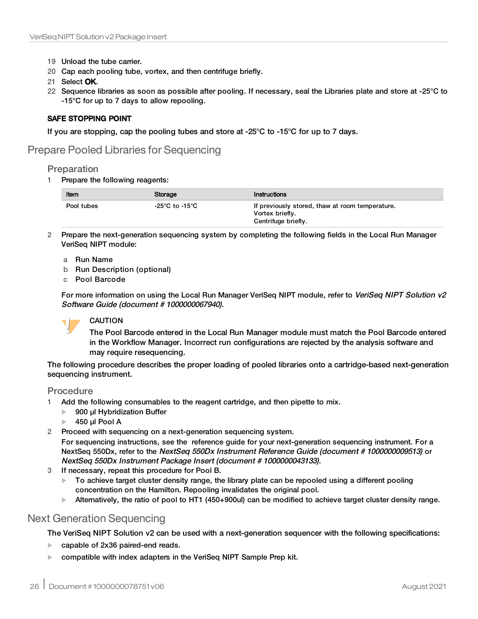- 19 Unload the tube carrier.
- 20 Cap each pooling tube, vortex, and then centrifuge briefly.
- 21 Select OK.
- 22 Sequence libraries as soon as possible after pooling. If necessary, seal the Libraries plate and store at -25°C to -15°C for up to 7 days to allow repooling.

#### SAFE STOPPING POINT

If you are stopping, cap the pooling tubes and store at -25°C to -15°C for up to 7 days.

## Prepare Pooled Libraries for Sequencing

#### **Preparation**

1 Prepare the following reagents:

| Item       | Storage        | Instructions                                                                              |
|------------|----------------|-------------------------------------------------------------------------------------------|
| Pool tubes | -25°C to -15°C | If previously stored, thaw at room temperature.<br>Vortex briefly.<br>Centrifuge briefly. |

- 2 Prepare the next-generation sequencing system by completing the following fields in the Local Run Manager VeriSeq NIPT module:
	- a Run Name
	- b Run Description (optional)
	- c Pool Barcode

For more information on using the Local Run Manager VeriSeq NIPT module, refer to VeriSeq NIPT Solution v2 Software Guide (document # 1000000067940).

#### CAUTION

The Pool Barcode entered in the Local Run Manager module must match the Pool Barcode entered in the Workflow Manager. Incorrect run configurations are rejected by the analysis software and may require resequencing.

The following procedure describes the proper loading of pooled libraries onto a cartridge-based next-generation sequencing instrument.

#### **Procedure**

- 1 Add the following consumables to the reagent cartridge, and then pipette to mix.
	- $\blacktriangleright$  900 µl Hybridization Buffer
	- $\blacktriangleright$  450 µl Pool A
- 2 Proceed with sequencing on a next-generation sequencing system.

For sequencing instructions, see the reference guide for your next-generation sequencing instrument. For a NextSeq 550Dx, refer to the NextSeq 550Dx Instrument Reference Guide (document # 1000000009513) or NextSeq 550Dx Instrument Package Insert (document # 1000000043133).

- 3 If necessary, repeat this procedure for Pool B.
	- $\triangleright$  To achieve target cluster density range, the library plate can be repooled using a different pooling concentration on the Hamilton. Repooling invalidates the original pool.
	- Alternatively, the ratio of pool to HT1 (450+900ul) can be modified to achieve target cluster density range.

# Next Generation Sequencing

The VeriSeq NIPT Solution v2 can be used with a next-generation sequencer with the following specifications:

- capable of 2x36 paired-end reads.
- compatible with index adapters in the VeriSeq NIPT Sample Prep kit.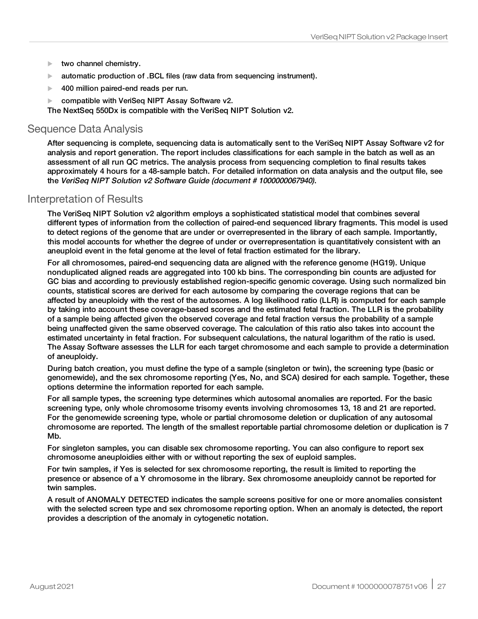- $\blacktriangleright$  two channel chemistry.
- $\blacktriangleright$  automatic production of .BCL files (raw data from sequencing instrument).
- $\blacktriangleright$  400 million paired-end reads per run.
- compatible with VeriSeq NIPT Assay Software v2.

The NextSeq 550Dx is compatible with the VeriSeq NIPT Solution v2.

## Sequence Data Analysis

After sequencing is complete, sequencing data is automatically sent to the VeriSeq NIPT Assay Software v2 for analysis and report generation. The report includes classifications for each sample in the batch as well as an assessment of all run QC metrics. The analysis process from sequencing completion to final results takes approximately 4 hours for a 48-sample batch. For detailed information on data analysis and the output file, see the VeriSeq NIPT Solution v2 Software Guide (document # 1000000067940).

## Interpretation of Results

The VeriSeq NIPT Solution v2 algorithm employs a sophisticated statistical model that combines several different types of information from the collection of paired-end sequenced library fragments. This model is used to detect regions of the genome that are under or overrepresented in the library of each sample. Importantly, this model accounts for whether the degree of under or overrepresentation is quantitatively consistent with an aneuploid event in the fetal genome at the level of fetal fraction estimated for the library.

For all chromosomes, paired-end sequencing data are aligned with the reference genome (HG19). Unique nonduplicated aligned reads are aggregated into 100 kb bins. The corresponding bin counts are adjusted for GC bias and according to previously established region-specific genomic coverage. Using such normalized bin counts, statistical scores are derived for each autosome by comparing the coverage regions that can be affected by aneuploidy with the rest of the autosomes. A log likelihood ratio (LLR) is computed for each sample by taking into account these coverage-based scores and the estimated fetal fraction. The LLR is the probability of a sample being affected given the observed coverage and fetal fraction versus the probability of a sample being unaffected given the same observed coverage. The calculation of this ratio also takes into account the estimated uncertainty in fetal fraction. For subsequent calculations, the natural logarithm of the ratio is used. The Assay Software assesses the LLR for each target chromosome and each sample to provide a determination of aneuploidy.

During batch creation, you must define the type of a sample (singleton or twin), the screening type (basic or genomewide), and the sex chromosome reporting (Yes, No, and SCA) desired for each sample. Together, these options determine the information reported for each sample.

For all sample types, the screening type determines which autosomal anomalies are reported. For the basic screening type, only whole chromosome trisomy events involving chromosomes 13, 18 and 21 are reported. For the genomewide screening type, whole or partial chromosome deletion or duplication of any autosomal chromosome are reported. The length of the smallest reportable partial chromosome deletion or duplication is 7 Mb.

For singleton samples, you can disable sex chromosome reporting. You can also configure to report sex chromosome aneuploidies either with or without reporting the sex of euploid samples.

For twin samples, if Yes is selected for sex chromosome reporting, the result is limited to reporting the presence or absence of a Y chromosome in the library. Sex chromosome aneuploidy cannot be reported for twin samples.

A result of ANOMALY DETECTED indicates the sample screens positive for one or more anomalies consistent with the selected screen type and sex chromosome reporting option. When an anomaly is detected, the report provides a description of the anomaly in cytogenetic notation.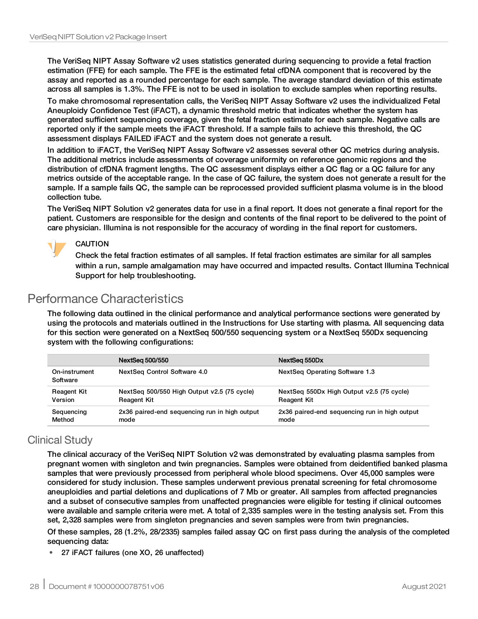The VeriSeq NIPT Assay Software v2 uses statistics generated during sequencing to provide a fetal fraction estimation (FFE) for each sample. The FFE is the estimated fetal cfDNA component that is recovered by the assay and reported as a rounded percentage for each sample. The average standard deviation of this estimate across all samples is 1.3%. The FFE is not to be used in isolation to exclude samples when reporting results.

To make chromosomal representation calls, the VeriSeq NIPT Assay Software v2 uses the individualized Fetal Aneuploidy Confidence Test (iFACT), a dynamic threshold metric that indicates whether the system has generated sufficient sequencing coverage, given the fetal fraction estimate for each sample. Negative calls are reported only if the sample meets the iFACT threshold. If a sample fails to achieve this threshold, the QC assessment displays FAILED iFACT and the system does not generate a result.

In addition to iFACT, the VeriSeq NIPT Assay Software v2 assesses several other QC metrics during analysis. The additional metrics include assessments of coverage uniformity on reference genomic regions and the distribution of cfDNA fragment lengths. The QC assessment displays either a QC flag or a QC failure for any metrics outside of the acceptable range. In the case of QC failure, the system does not generate a result for the sample. If a sample fails QC, the sample can be reprocessed provided sufficient plasma volume is in the blood collection tube.

The VeriSeq NIPT Solution v2 generates data for use in a final report. It does not generate a final report for the patient. Customers are responsible for the design and contents of the final report to be delivered to the point of care physician. Illumina is not responsible for the accuracy of wording in the final report for customers.



### CAUTION

Check the fetal fraction estimates of all samples. If fetal fraction estimates are similar for all samples within a run, sample amalgamation may have occurred and impacted results. Contact Illumina Technical Support for help troubleshooting.

# Performance Characteristics

The following data outlined in the clinical performance and analytical performance sections were generated by using the protocols and materials outlined in the Instructions for Use starting with plasma. All sequencing data for this section were generated on a NextSeq 500/550 sequencing system or a NextSeq 550Dx sequencing system with the following configurations:

|                           | NextSeq 500/550                               | NextSeg 550Dx                                 |
|---------------------------|-----------------------------------------------|-----------------------------------------------|
| On-instrument<br>Software | NextSeg Control Software 4.0                  | NextSeg Operating Software 1.3                |
| <b>Reagent Kit</b>        | NextSeq 500/550 High Output v2.5 (75 cycle)   | NextSeq 550Dx High Output v2.5 (75 cycle)     |
| Version                   | <b>Reagent Kit</b>                            | <b>Reagent Kit</b>                            |
| Sequencing                | 2x36 paired-end sequencing run in high output | 2x36 paired-end sequencing run in high output |
| Method                    | mode                                          | mode                                          |

# Clinical Study

The clinical accuracy of the VeriSeq NIPT Solution v2 was demonstrated by evaluating plasma samples from pregnant women with singleton and twin pregnancies. Samples were obtained from deidentified banked plasma samples that were previously processed from peripheral whole blood specimens. Over 45,000 samples were considered for study inclusion. These samples underwent previous prenatal screening for fetal chromosome aneuploidies and partial deletions and duplications of 7 Mb or greater. All samples from affected pregnancies and a subset of consecutive samples from unaffected pregnancies were eligible for testing if clinical outcomes were available and sample criteria were met. A total of 2,335 samples were in the testing analysis set. From this set, 2,328 samples were from singleton pregnancies and seven samples were from twin pregnancies.

Of these samples, 28 (1.2%, 28/2335) samples failed assay QC on first pass during the analysis of the completed sequencing data:

• 27 iFACT failures (one XO, 26 unaffected)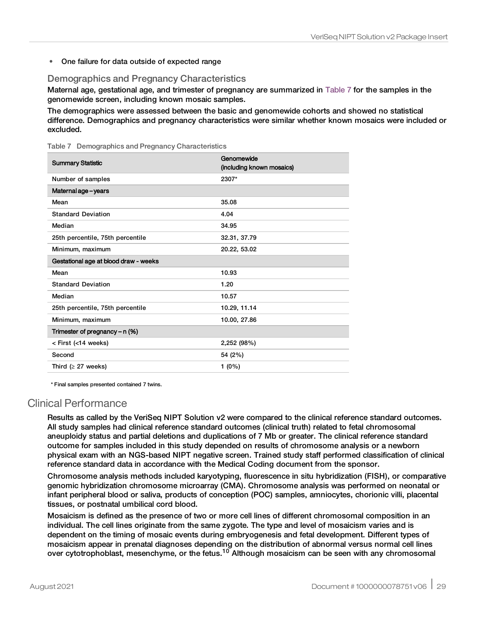• One failure for data outside of expected range

### Demographics and Pregnancy Characteristics

Maternal age, gestational age, and trimester of pregnancy are summarized in [Table](#page-28-0) 7 for the samples in the genomewide screen, including known mosaic samples.

The demographics were assessed between the basic and genomewide cohorts and showed no statistical difference. Demographics and pregnancy characteristics were similar whether known mosaics were included or excluded.

<span id="page-28-0"></span>Table 7 Demographics and Pregnancy Characteristics

| <b>Summary Statistic</b>              | Genomewide<br>(including known mosaics) |  |  |
|---------------------------------------|-----------------------------------------|--|--|
| Number of samples                     | 2307*                                   |  |  |
| Maternal age - years                  |                                         |  |  |
| Mean                                  | 35.08                                   |  |  |
| <b>Standard Deviation</b>             | 4.04                                    |  |  |
| Median                                | 34.95                                   |  |  |
| 25th percentile, 75th percentile      | 32.31, 37.79                            |  |  |
| Minimum, maximum                      | 20.22, 53.02                            |  |  |
| Gestational age at blood draw - weeks |                                         |  |  |
| Mean                                  | 10.93                                   |  |  |
| <b>Standard Deviation</b>             | 1.20                                    |  |  |
| Median                                | 10.57                                   |  |  |
| 25th percentile, 75th percentile      | 10.29, 11.14                            |  |  |
| Minimum, maximum                      | 10.00, 27.86                            |  |  |
| Trimester of pregnancy - n (%)        |                                         |  |  |
| < First (<14 weeks)                   | 2,252 (98%)                             |  |  |
| Second                                | 54 (2%)                                 |  |  |
| Third ( $\geq$ 27 weeks)              | $1(0\%)$                                |  |  |

\* Final samples presented contained 7 twins.

# Clinical Performance

Results as called by the VeriSeq NIPT Solution v2 were compared to the clinical reference standard outcomes. All study samples had clinical reference standard outcomes (clinical truth) related to fetal chromosomal aneuploidy status and partial deletions and duplications of 7 Mb or greater. The clinical reference standard outcome for samples included in this study depended on results of chromosome analysis or a newborn physical exam with an NGS-based NIPT negative screen. Trained study staff performed classification of clinical reference standard data in accordance with the Medical Coding document from the sponsor.

Chromosome analysis methods included karyotyping, fluorescence in situ hybridization (FISH), or comparative genomic hybridization chromosome microarray (CMA). Chromosome analysis was performed on neonatal or infant peripheral blood or saliva, products of conception (POC) samples, amniocytes, chorionic villi, placental tissues, or postnatal umbilical cord blood.

Mosaicism is defined as the presence of two or more cell lines of different chromosomal composition in an individual. The cell lines originate from the same zygote. The type and level of mosaicism varies and is dependent on the timing of mosaic events during embryogenesis and fetal development. Different types of mosaicism appear in prenatal diagnoses depending on the distribution of abnormal versus normal cell lines over cytotrophoblast, mesenchyme, or the fetus.<sup>10</sup> Although mosaicism can be seen with any chromosomal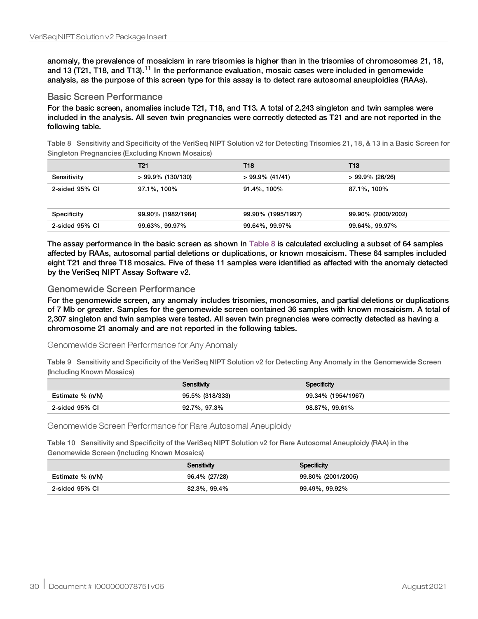anomaly, the prevalence of mosaicism in rare trisomies is higher than in the trisomies of chromosomes 21, 18, and 13 (T21, T18, and T13).<sup>11</sup> In the performance evaluation, mosaic cases were included in genomewide analysis, as the purpose of this screen type for this assay is to detect rare autosomal aneuploidies (RAAs).

#### Basic Screen Performance

<span id="page-29-0"></span>For the basic screen, anomalies include T21, T18, and T13. A total of 2,243 singleton and twin samples were included in the analysis. All seven twin pregnancies were correctly detected as T21 and are not reported in the following table.

Table 8 Sensitivity and Specificity of the VeriSeq NIPT Solution v2 for Detecting Trisomies 21, 18, & 13 in a Basic Screen for Singleton Pregnancies (Excluding Known Mosaics)

|                | T21                  | T18                | T13                |
|----------------|----------------------|--------------------|--------------------|
| Sensitivity    | $> 99.9\%$ (130/130) | $> 99.9\%$ (41/41) | $>99.9\%$ (26/26)  |
| 2-sided 95% CI | 97.1%, 100%          | 91.4%, 100%        | 87.1%, 100%        |
|                |                      |                    |                    |
| Specificity    | 99.90% (1982/1984)   | 99.90% (1995/1997) | 99.90% (2000/2002) |
| 2-sided 95% CI | 99.63%, 99.97%       | 99.64%, 99.97%     | 99.64%, 99.97%     |

The assay performance in the basic screen as shown in [Table](#page-29-0) 8 is calculated excluding a subset of 64 samples affected by RAAs, autosomal partial deletions or duplications, or known mosaicism. These 64 samples included eight T21 and three T18 mosaics. Five of these 11 samples were identified as affected with the anomaly detected by the VeriSeq NIPT Assay Software v2.

#### Genomewide Screen Performance

For the genomewide screen, any anomaly includes trisomies, monosomies, and partial deletions or duplications of 7 Mb or greater. Samples for the genomewide screen contained 36 samples with known mosaicism. A total of 2,307 singleton and twin samples were tested. All seven twin pregnancies were correctly detected as having a chromosome 21 anomaly and are not reported in the following tables.

#### Genomewide Screen Performance for Any Anomaly

Table 9 Sensitivity and Specificity of the VeriSeq NIPT Solution v2 for Detecting Any Anomaly in the Genomewide Screen (Including Known Mosaics)

|                  | Sensitivity     | Specificity        |
|------------------|-----------------|--------------------|
| Estimate % (n/N) | 95.5% (318/333) | 99.34% (1954/1967) |
| 2-sided 95% CI   | 92.7%, 97.3%    | 98.87%, 99.61%     |

Genomewide Screen Performance for Rare Autosomal Aneuploidy

Table 10 Sensitivity and Specificity of the VeriSeq NIPT Solution v2 for Rare Autosomal Aneuploidy (RAA) in the Genomewide Screen (Including Known Mosaics)

|                  | Sensitivity   | Specificity        |
|------------------|---------------|--------------------|
| Estimate % (n/N) | 96.4% (27/28) | 99.80% (2001/2005) |
| 2-sided 95% CI   | 82.3%, 99.4%  | 99.49%, 99.92%     |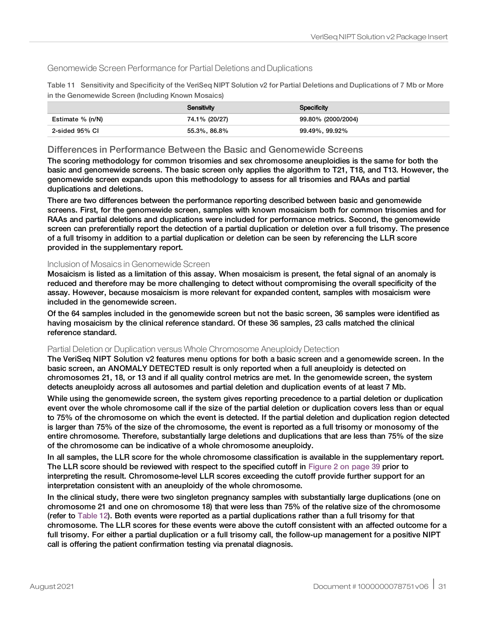### Genomewide Screen Performance for Partial Deletions and Duplications

| Table 11 Sensitivity and Specificity of the VeriSeq NIPT Solution v2 for Partial Deletions and Duplications of 7 Mb or More |
|-----------------------------------------------------------------------------------------------------------------------------|
| in the Genomewide Screen (Including Known Mosaics)                                                                          |

|                  | Sensitivity   | Specificity        |
|------------------|---------------|--------------------|
| Estimate % (n/N) | 74.1% (20/27) | 99.80% (2000/2004) |
| 2-sided 95% CI   | 55.3%, 86.8%  | 99.49%, 99.92%     |

#### Differences in Performance Between the Basic and Genomewide Screens

The scoring methodology for common trisomies and sex chromosome aneuploidies is the same for both the basic and genomewide screens. The basic screen only applies the algorithm to T21, T18, and T13. However, the genomewide screen expands upon this methodology to assess for all trisomies and RAAs and partial duplications and deletions.

There are two differences between the performance reporting described between basic and genomewide screens. First, for the genomewide screen, samples with known mosaicism both for common trisomies and for RAAs and partial deletions and duplications were included for performance metrics. Second, the genomewide screen can preferentially report the detection of a partial duplication or deletion over a full trisomy. The presence of a full trisomy in addition to a partial duplication or deletion can be seen by referencing the LLR score provided in the supplementary report.

#### Inclusion of Mosaics in Genomewide Screen

Mosaicism is listed as a limitation of this assay. When mosaicism is present, the fetal signal of an anomaly is reduced and therefore may be more challenging to detect without compromising the overall specificity of the assay. However, because mosaicism is more relevant for expanded content, samples with mosaicism were included in the genomewide screen.

Of the 64 samples included in the genomewide screen but not the basic screen, 36 samples were identified as having mosaicism by the clinical reference standard. Of these 36 samples, 23 calls matched the clinical reference standard.

#### Partial Deletion or Duplication versus Whole Chromosome Aneuploidy Detection

The VeriSeq NIPT Solution v2 features menu options for both a basic screen and a genomewide screen. In the basic screen, an ANOMALY DETECTED result is only reported when a full aneuploidy is detected on chromosomes 21, 18, or 13 and if all quality control metrics are met. In the genomewide screen, the system detects aneuploidy across all autosomes and partial deletion and duplication events of at least 7 Mb.

While using the genomewide screen, the system gives reporting precedence to a partial deletion or duplication event over the whole chromosome call if the size of the partial deletion or duplication covers less than or equal to 75% of the chromosome on which the event is detected. If the partial deletion and duplication region detected is larger than 75% of the size of the chromosome, the event is reported as a full trisomy or monosomy of the entire chromosome. Therefore, substantially large deletions and duplications that are less than 75% of the size of the chromosome can be indicative of a whole chromosome aneuploidy.

In all samples, the LLR score for the whole chromosome classification is available in the supplementary report. The LLR score should be reviewed with respect to the specified cutoff in [Figure](#page-38-0) 2 on page 39 prior to interpreting the result. Chromosome-level LLR scores exceeding the cutoff provide further support for an interpretation consistent with an aneuploidy of the whole chromosome.

In the clinical study, there were two singleton pregnancy samples with substantially large duplications (one on chromosome 21 and one on chromosome 18) that were less than 75% of the relative size of the chromosome (refer to [Table](#page-31-0) 12). Both events were reported as a partial duplications rather than a full trisomy for that chromosome. The LLR scores for these events were above the cutoff consistent with an affected outcome for a full trisomy. For either a partial duplication or a full trisomy call, the follow-up management for a positive NIPT call is offering the patient confirmation testing via prenatal diagnosis.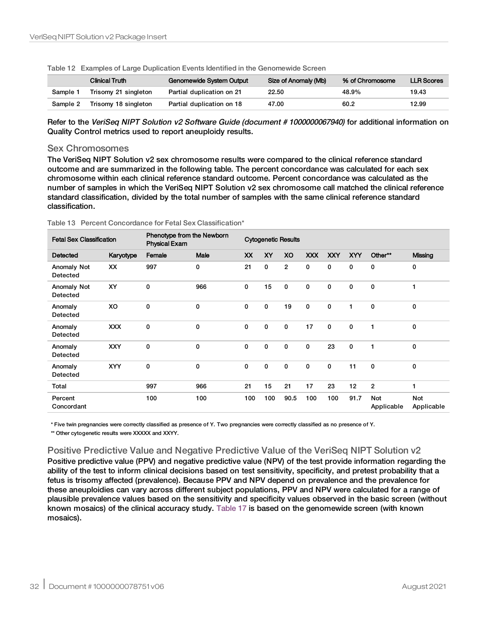|          | Clinical Truth       | Genomewide System Output  | Size of Anomaly (Mb) | % of Chromosome | <b>LLR Scores</b> |
|----------|----------------------|---------------------------|----------------------|-----------------|-------------------|
| Sample 1 | Trisomy 21 singleton | Partial duplication on 21 | 22.50                | 48.9%           | 19.43             |
| Sample 2 | Trisomy 18 singleton | Partial duplication on 18 | 47.00                | 60.2            | 12.99             |

<span id="page-31-0"></span>Table 12 Examples of Large Duplication Events Identified in the Genomewide Screen

Refer to the VeriSeq NIPT Solution v2 Software Guide (document # 1000000067940) for additional information on Quality Control metrics used to report aneuploidy results.

#### Sex Chromosomes

The VeriSeq NIPT Solution v2 sex chromosome results were compared to the clinical reference standard outcome and are summarized in the following table. The percent concordance was calculated for each sex chromosome within each clinical reference standard outcome. Percent concordance was calculated as the number of samples in which the VeriSeq NIPT Solution v2 sex chromosome call matched the clinical reference standard classification, divided by the total number of samples with the same clinical reference standard classification.

| <b>Fetal Sex Classification</b> |            | Phenotype from the Newborn<br><b>Physical Exam</b> |             | <b>Cytogenetic Results</b> |              |                |             |             |              |                   |                   |
|---------------------------------|------------|----------------------------------------------------|-------------|----------------------------|--------------|----------------|-------------|-------------|--------------|-------------------|-------------------|
| Detected                        | Karyotype  | Female                                             | <b>Male</b> | <b>XX</b>                  | <b>XY</b>    | XO             | <b>XXX</b>  | <b>XXY</b>  | <b>XYY</b>   | Other**           | <b>Missing</b>    |
| <b>Anomaly Not</b><br>Detected  | XX         | 997                                                | 0           | 21                         | $\mathbf 0$  | $\overline{2}$ | 0           | 0           | $\mathbf 0$  | 0                 | 0                 |
| Anomaly Not<br>Detected         | XY         | 0                                                  | 966         | 0                          | 15           | $\mathbf 0$    | $\mathbf 0$ | 0           | $\mathbf 0$  | $\mathbf 0$       | 1                 |
| Anomaly<br>Detected             | XO         | 0                                                  | $\mathbf 0$ | 0                          | 0            | 19             | $\mathbf 0$ | 0           | 1            | $\mathbf 0$       | 0                 |
| Anomaly<br>Detected             | <b>XXX</b> | 0                                                  | 0           | 0                          | $\mathbf{0}$ | $\mathbf 0$    | 17          | $\mathbf 0$ | $\mathbf{0}$ | 1                 | 0                 |
| Anomaly<br>Detected             | <b>XXY</b> | 0                                                  | $\mathbf 0$ | 0                          | $\mathbf{0}$ | $\mathbf 0$    | 0           | 23          | $\mathbf{0}$ | 1                 | $\mathbf 0$       |
| Anomaly<br>Detected             | <b>XYY</b> | 0                                                  | 0           | 0                          | $\mathbf 0$  | $\mathbf 0$    | 0           | 0           | 11           | $\mathbf 0$       | 0                 |
| Total                           |            | 997                                                | 966         | 21                         | 15           | 21             | 17          | 23          | 12           | $\overline{2}$    | 1                 |
| Percent<br>Concordant           |            | 100                                                | 100         | 100                        | 100          | 90.5           | 100         | 100         | 91.7         | Not<br>Applicable | Not<br>Applicable |

| Table 13 Percent Concordance for Fetal Sex Classification* |  |  |
|------------------------------------------------------------|--|--|
|                                                            |  |  |

\* Five twin pregnancies were correctly classified as presence of Y. Two pregnancies were correctly classified as no presence of Y.

\*\* Other cytogenetic results were XXXXX and XXYY.

## Positive Predictive Value and Negative Predictive Value of the VeriSeq NIPT Solution v2

Positive predictive value (PPV) and negative predictive value (NPV) of the test provide information regarding the ability of the test to inform clinical decisions based on test sensitivity, specificity, and pretest probability that a fetus is trisomy affected (prevalence). Because PPV and NPV depend on prevalence and the prevalence for these aneuploidies can vary across different subject populations, PPV and NPV were calculated for a range of plausible prevalence values based on the sensitivity and specificity values observed in the basic screen (without known mosaics) of the clinical accuracy study. [Table](#page-32-0) 17 is based on the genomewide screen (with known mosaics).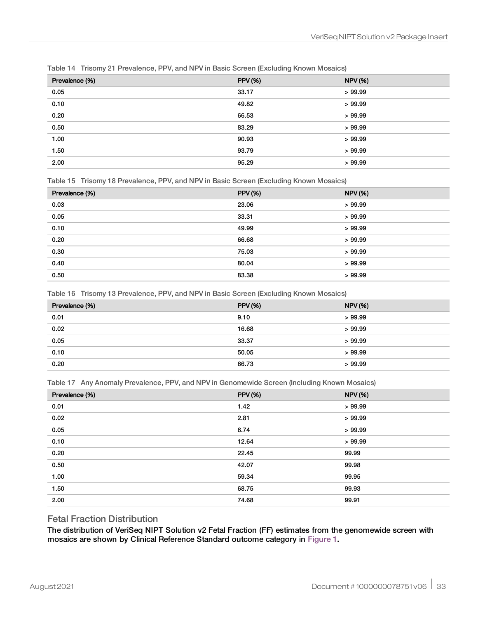| Prevalence (%) | <b>PPV (%)</b> | <b>NPV (%)</b> |
|----------------|----------------|----------------|
| 0.05           | 33.17          | >99.99         |
| 0.10           | 49.82          | >99.99         |
| 0.20           | 66.53          | >99.99         |
| 0.50           | 83.29          | >99.99         |
| 1.00           | 90.93          | >99.99         |
| 1.50           | 93.79          | >99.99         |
| 2.00           | 95.29          | >99.99         |

Table 14 Trisomy 21 Prevalence, PPV, and NPV in Basic Screen (Excluding Known Mosaics)

Table 15 Trisomy 18 Prevalence, PPV, and NPV in Basic Screen (Excluding Known Mosaics)

| Prevalence (%) | <b>PPV (%)</b> | <b>NPV</b> (%) |
|----------------|----------------|----------------|
| 0.03           | 23.06          | >99.99         |
| 0.05           | 33.31          | >99.99         |
| 0.10           | 49.99          | >99.99         |
| 0.20           | 66.68          | >99.99         |
| 0.30           | 75.03          | >99.99         |
| 0.40           | 80.04          | >99.99         |
| 0.50           | 83.38          | >99.99         |

Table 16 Trisomy 13 Prevalence, PPV, and NPV in Basic Screen (Excluding Known Mosaics)

| Prevalence (%) | <b>PPV</b> (%) | <b>NPV (%)</b> |
|----------------|----------------|----------------|
| 0.01           | 9.10           | >99.99         |
| 0.02           | 16.68          | >99.99         |
| 0.05           | 33.37          | >99.99         |
| 0.10           | 50.05          | >99.99         |
| 0.20           | 66.73          | >99.99         |

<span id="page-32-0"></span>Table 17 Any Anomaly Prevalence, PPV, and NPV in Genomewide Screen (Including Known Mosaics)

| Prevalence (%) | <b>PPV (%)</b> | <b>NPV (%)</b> |
|----------------|----------------|----------------|
| 0.01           | 1.42           | >99.99         |
| 0.02           | 2.81           | >99.99         |
| 0.05           | 6.74           | >99.99         |
| 0.10           | 12.64          | >99.99         |
| 0.20           | 22.45          | 99.99          |
| 0.50           | 42.07          | 99.98          |
| 1.00           | 59.34          | 99.95          |
| 1.50           | 68.75          | 99.93          |
| 2.00           | 74.68          | 99.91          |

### Fetal Fraction Distribution

The distribution of VeriSeq NIPT Solution v2 Fetal Fraction (FF) estimates from the genomewide screen with mosaics are shown by Clinical Reference Standard outcome category in [Figure](#page-33-0) 1.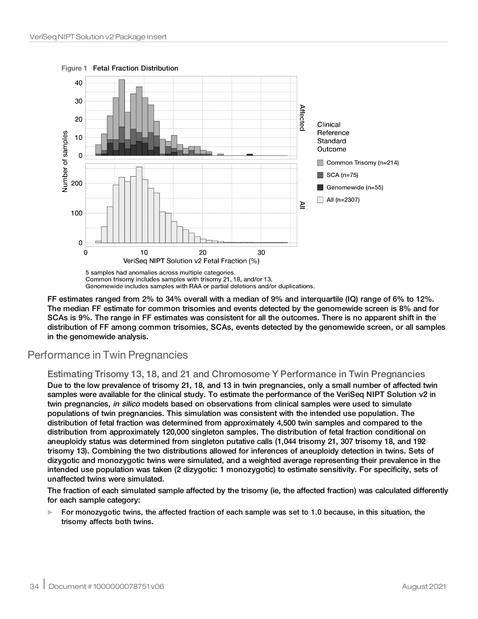40 30 Affectec 20 Clinical Reference **Jumber of samples**  $10$ Standard Outcome  $\mathbf 0$ Common Trisomy (n=214)  $\blacksquare$  SCA (n=75) 200 Genomewide (n=55)  $\Box$  All (n=2307) ≧ 100  $\mathbf 0$  $\mathbf 0$  $10$ 20 30 VeriSeq NIPT Solution v2 Fetal Fraction (%)

<span id="page-33-0"></span>Figure 1 Fetal Fraction Distribution

5 samples had anomalies across multiple categories. Common trisomy includes samples with trisomy 21, 18, and/or 13. Genomewide includes samples with RAA or partial deletions and/or duplications.

FF estimates ranged from 2% to 34% overall with a median of 9% and interquartile (IQ) range of 6% to 12%. The median FF estimate for common trisomies and events detected by the genomewide screen is 8% and for SCAs is 9%. The range in FF estimates was consistent for all the outcomes. There is no apparent shift in the distribution of FF among common trisomies, SCAs, events detected by the genomewide screen, or all samples in the genomewide analysis.

# Performance in Twin Pregnancies

### Estimating Trisomy 13, 18, and 21 and Chromosome Y Performance in Twin Pregnancies

Due to the low prevalence of trisomy 21, 18, and 13 in twin pregnancies, only a small number of affected twin samples were available for the clinical study. To estimate the performance of the VeriSeq NIPT Solution v2 in twin pregnancies, in silico models based on observations from clinical samples were used to simulate populations of twin pregnancies. This simulation was consistent with the intended use population. The distribution of fetal fraction was determined from approximately 4,500 twin samples and compared to the distribution from approximately 120,000 singleton samples. The distribution of fetal fraction conditional on aneuploidy status was determined from singleton putative calls (1,044 trisomy 21, 307 trisomy 18, and 192 trisomy 13). Combining the two distributions allowed for inferences of aneuploidy detection in twins. Sets of dizygotic and monozygotic twins were simulated, and a weighted average representing their prevalence in the intended use population was taken (2 dizygotic: 1 monozygotic) to estimate sensitivity. For specificity, sets of unaffected twins were simulated.

The fraction of each simulated sample affected by the trisomy (ie, the affected fraction) was calculated differently for each sample category:

 $\blacktriangleright$  For monozygotic twins, the affected fraction of each sample was set to 1.0 because, in this situation, the trisomy affects both twins.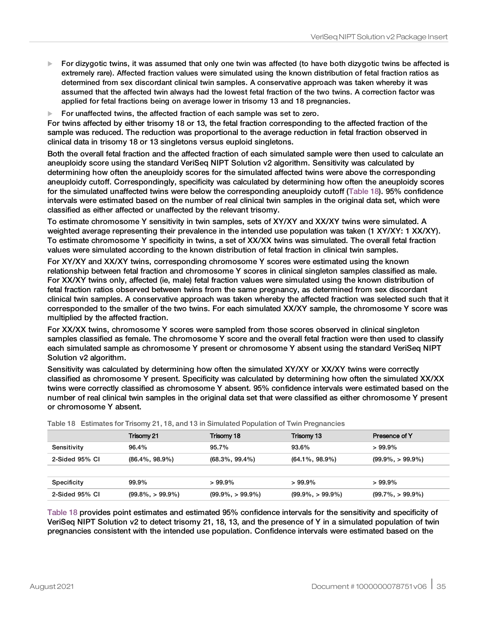- For dizygotic twins, it was assumed that only one twin was affected (to have both dizygotic twins be affected is extremely rare). Affected fraction values were simulated using the known distribution of fetal fraction ratios as determined from sex discordant clinical twin samples. A conservative approach was taken whereby it was assumed that the affected twin always had the lowest fetal fraction of the two twins. A correction factor was applied for fetal fractions being on average lower in trisomy 13 and 18 pregnancies.
- For unaffected twins, the affected fraction of each sample was set to zero.

For twins affected by either trisomy 18 or 13, the fetal fraction corresponding to the affected fraction of the sample was reduced. The reduction was proportional to the average reduction in fetal fraction observed in clinical data in trisomy 18 or 13 singletons versus euploid singletons.

Both the overall fetal fraction and the affected fraction of each simulated sample were then used to calculate an aneuploidy score using the standard VeriSeq NIPT Solution v2 algorithm. Sensitivity was calculated by determining how often the aneuploidy scores for the simulated affected twins were above the corresponding aneuploidy cutoff. Correspondingly, specificity was calculated by determining how often the aneuploidy scores for the simulated unaffected twins were below the corresponding aneuploidy cutoff ([Table](#page-34-0) 18). 95% confidence intervals were estimated based on the number of real clinical twin samples in the original data set, which were classified as either affected or unaffected by the relevant trisomy.

To estimate chromosome Y sensitivity in twin samples, sets of XY/XY and XX/XY twins were simulated. A weighted average representing their prevalence in the intended use population was taken (1 XY/XY: 1 XX/XY). To estimate chromosome Y specificity in twins, a set of XX/XX twins was simulated. The overall fetal fraction values were simulated according to the known distribution of fetal fraction in clinical twin samples.

For XY/XY and XX/XY twins, corresponding chromosome Y scores were estimated using the known relationship between fetal fraction and chromosome Y scores in clinical singleton samples classified as male. For XX/XY twins only, affected (ie, male) fetal fraction values were simulated using the known distribution of fetal fraction ratios observed between twins from the same pregnancy, as determined from sex discordant clinical twin samples. A conservative approach was taken whereby the affected fraction was selected such that it corresponded to the smaller of the two twins. For each simulated XX/XY sample, the chromosome Y score was multiplied by the affected fraction.

For XX/XX twins, chromosome Y scores were sampled from those scores observed in clinical singleton samples classified as female. The chromosome Y score and the overall fetal fraction were then used to classify each simulated sample as chromosome Y present or chromosome Y absent using the standard VeriSeq NIPT Solution v2 algorithm.

Sensitivity was calculated by determining how often the simulated XY/XY or XX/XY twins were correctly classified as chromosome Y present. Specificity was calculated by determining how often the simulated XX/XX twins were correctly classified as chromosome Y absent. 95% confidence intervals were estimated based on the number of real clinical twin samples in the original data set that were classified as either chromosome Y present or chromosome Y absent.

|                | Trisomy 21           | Trisomy 18           | Trisomy 13           | Presence of Y        |
|----------------|----------------------|----------------------|----------------------|----------------------|
| Sensitivity    | 96.4%                | 95.7%                | 93.6%                | $>99.9\%$            |
| 2-Sided 95% CI | $(86.4\%, 98.9\%)$   | $(68.3\%, 99.4\%)$   | (64.1%, 98.9%)       | $(99.9\%, > 99.9\%)$ |
|                |                      |                      |                      |                      |
| Specificity    | 99.9%                | $>99.9\%$            | $>99.9\%$            | $>99.9\%$            |
| 2-Sided 95% CI | $(99.8\%, > 99.9\%)$ | $(99.9\%, > 99.9\%)$ | $(99.9\%, > 99.9\%)$ | $(99.7\%, > 99.9\%)$ |

<span id="page-34-0"></span>

|  | Table 18 Estimates for Trisomy 21, 18, and 13 in Simulated Population of Twin Pregnancies |  |  |  |  |  |  |
|--|-------------------------------------------------------------------------------------------|--|--|--|--|--|--|
|--|-------------------------------------------------------------------------------------------|--|--|--|--|--|--|

[Table](#page-34-0) 18 provides point estimates and estimated 95% confidence intervals for the sensitivity and specificity of VeriSeq NIPT Solution v2 to detect trisomy 21, 18, 13, and the presence of Y in a simulated population of twin pregnancies consistent with the intended use population. Confidence intervals were estimated based on the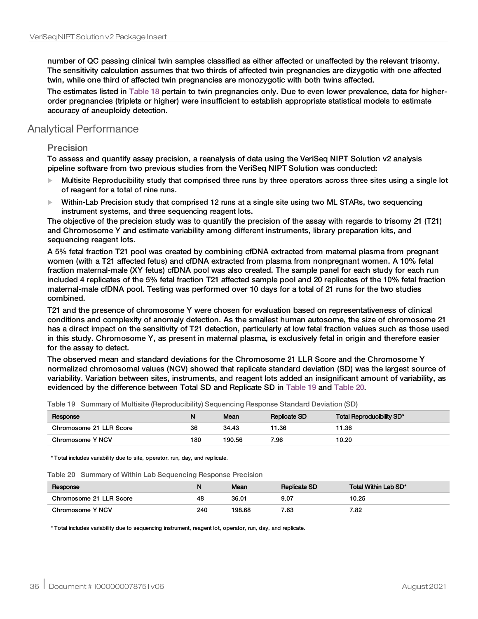number of QC passing clinical twin samples classified as either affected or unaffected by the relevant trisomy. The sensitivity calculation assumes that two thirds of affected twin pregnancies are dizygotic with one affected twin, while one third of affected twin pregnancies are monozygotic with both twins affected.

The estimates listed in [Table](#page-34-0) 18 pertain to twin pregnancies only. Due to even lower prevalence, data for higherorder pregnancies (triplets or higher) were insufficient to establish appropriate statistical models to estimate accuracy of aneuploidy detection.

# Analytical Performance

### **Precision**

To assess and quantify assay precision, a reanalysis of data using the VeriSeq NIPT Solution v2 analysis pipeline software from two previous studies from the VeriSeq NIPT Solution was conducted:

- Multisite Reproducibility study that comprised three runs by three operators across three sites using a single lot of reagent for a total of nine runs.
- $\blacktriangleright$  Within-Lab Precision study that comprised 12 runs at a single site using two ML STARs, two sequencing instrument systems, and three sequencing reagent lots.

The objective of the precision study was to quantify the precision of the assay with regards to trisomy 21 (T21) and Chromosome Y and estimate variability among different instruments, library preparation kits, and sequencing reagent lots.

A 5% fetal fraction T21 pool was created by combining cfDNA extracted from maternal plasma from pregnant women (with a T21 affected fetus) and cfDNA extracted from plasma from nonpregnant women. A 10% fetal fraction maternal-male (XY fetus) cfDNA pool was also created. The sample panel for each study for each run included 4 replicates of the 5% fetal fraction T21 affected sample pool and 20 replicates of the 10% fetal fraction maternal-male cfDNA pool. Testing was performed over 10 days for a total of 21 runs for the two studies combined.

T21 and the presence of chromosome Y were chosen for evaluation based on representativeness of clinical conditions and complexity of anomaly detection. As the smallest human autosome, the size of chromosome 21 has a direct impact on the sensitivity of T21 detection, particularly at low fetal fraction values such as those used in this study. Chromosome Y, as present in maternal plasma, is exclusively fetal in origin and therefore easier for the assay to detect.

The observed mean and standard deviations for the Chromosome 21 LLR Score and the Chromosome Y normalized chromosomal values (NCV) showed that replicate standard deviation (SD) was the largest source of variability. Variation between sites, instruments, and reagent lots added an insignificant amount of variability, as evidenced by the difference between Total SD and Replicate SD in [Table](#page-35-0) 19 and [Table](#page-35-1) 20.

| Response                | N   | Mean   | <b>Replicate SD</b> | Total Reproducibility SD* |
|-------------------------|-----|--------|---------------------|---------------------------|
| Chromosome 21 LLR Score | 36  | 34.43  | 11.36               | 11.36                     |
| Chromosome Y NCV        | 180 | 190.56 | 7.96                | 10.20                     |

<span id="page-35-0"></span>Table 19 Summary of Multisite (Reproducibility) Sequencing Response Standard Deviation (SD)

<span id="page-35-1"></span>\* Total includes variability due to site, operator, run, day, and replicate.

Table 20 Summary of Within Lab Sequencing Response Precision

| Response                | N   | Mean   | <b>Replicate SD</b> | Total Within Lab SD* |
|-------------------------|-----|--------|---------------------|----------------------|
| Chromosome 21 LLR Score | 48  | 36.01  | 9.07                | 10.25                |
| Chromosome Y NCV        | 240 | 198.68 | 7.63                | 7.82                 |

\* Total includes variability due to sequencing instrument, reagent lot, operator, run, day, and replicate.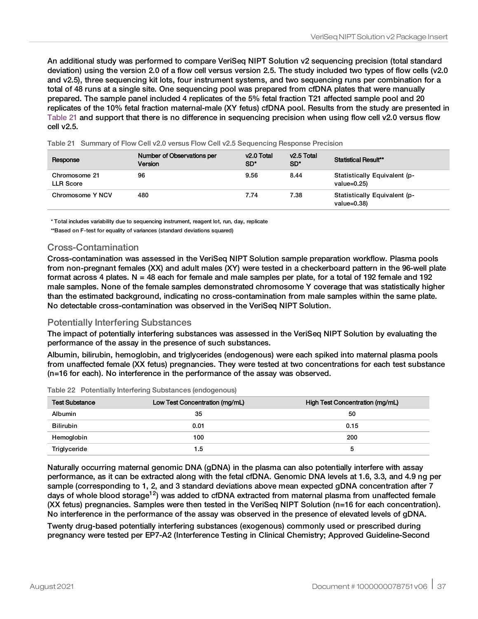An additional study was performed to compare VeriSeq NIPT Solution v2 sequencing precision (total standard deviation) using the version 2.0 of a flow cell versus version 2.5. The study included two types of flow cells (v2.0 and v2.5), three sequencing kit lots, four instrument systems, and two sequencing runs per combination for a total of 48 runs at a single site. One sequencing pool was prepared from cfDNA plates that were manually prepared. The sample panel included 4 replicates of the 5% fetal fraction T21 affected sample pool and 20 replicates of the 10% fetal fraction maternal-male (XY fetus) cfDNA pool. Results from the study are presented in [Table](#page-36-0) 21 and support that there is no difference in sequencing precision when using flow cell v2.0 versus flow cell v2.5.

Response Number of Observations per Version v2.0 Total SD\* v2.5 Total<br>SD\* Statistical Result\*\* Chromosome 21 LLR Score 96 9.56 8.44 Statistically Equivalent (pvalue=0.25) Chromosome Y NCV 480 480 7.74 7.38 Statistically Equivalent (pvalue=0.38)

<span id="page-36-0"></span>Table 21 Summary of Flow Cell v2.0 versus Flow Cell v2.5 Sequencing Response Precision

\* Total includes variability due to sequencing instrument, reagent lot, run, day, replicate

\*\*Based on F-test for equality of variances (standard deviations squared)

### Cross-Contamination

Cross-contamination was assessed in the VeriSeq NIPT Solution sample preparation workflow. Plasma pools from non-pregnant females (XX) and adult males (XY) were tested in a checkerboard pattern in the 96-well plate format across 4 plates. N = 48 each for female and male samples per plate, for a total of 192 female and 192 male samples. None of the female samples demonstrated chromosome Y coverage that was statistically higher than the estimated background, indicating no cross-contamination from male samples within the same plate. No detectable cross-contamination was observed in the VeriSeq NIPT Solution.

### Potentially Interfering Substances

The impact of potentially interfering substances was assessed in the VeriSeq NIPT Solution by evaluating the performance of the assay in the presence of such substances.

Albumin, bilirubin, hemoglobin, and triglycerides (endogenous) were each spiked into maternal plasma pools from unaffected female (XX fetus) pregnancies. They were tested at two concentrations for each test substance (n=16 for each). No interference in the performance of the assay was observed.

|  |  |  |  | Table 22 Potentially Interfering Substances (endogenous) |
|--|--|--|--|----------------------------------------------------------|
|--|--|--|--|----------------------------------------------------------|

| <b>Test Substance</b> | Low Test Concentration (mg/mL) | High Test Concentration (mg/mL) |
|-----------------------|--------------------------------|---------------------------------|
| <b>Albumin</b>        | 35                             | 50                              |
| <b>Bilirubin</b>      | 0.01                           | 0.15                            |
| Hemoglobin            | 100                            | 200                             |
| Triglyceride          | 1.5                            |                                 |

Naturally occurring maternal genomic DNA (gDNA) in the plasma can also potentially interfere with assay performance, as it can be extracted along with the fetal cfDNA. Genomic DNA levels at 1.6, 3.3, and 4.9 ng per sample (corresponding to 1, 2, and 3 standard deviations above mean expected gDNA concentration after 7 days of whole blood storage<sup>12</sup>) was added to cfDNA extracted from maternal plasma from unaffected female (XX fetus) pregnancies. Samples were then tested in the VeriSeq NIPT Solution (n=16 for each concentration). No interference in the performance of the assay was observed in the presence of elevated levels of gDNA.

Twenty drug-based potentially interfering substances (exogenous) commonly used or prescribed during pregnancy were tested per EP7-A2 (Interference Testing in Clinical Chemistry; Approved Guideline-Second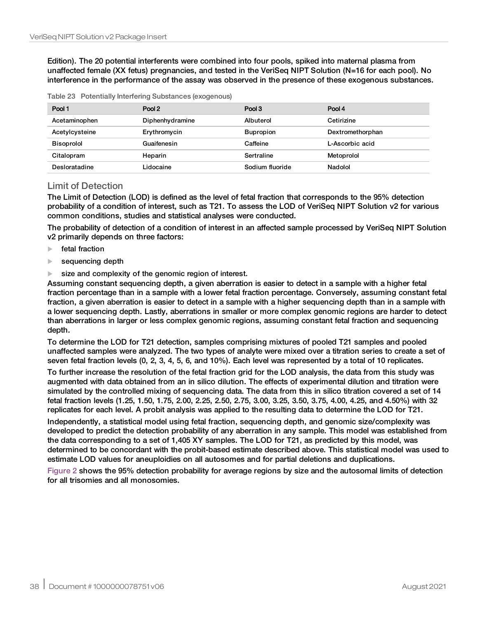Edition). The 20 potential interferents were combined into four pools, spiked into maternal plasma from unaffected female (XX fetus) pregnancies, and tested in the VeriSeq NIPT Solution (N=16 for each pool). No interference in the performance of the assay was observed in the presence of these exogenous substances.

| Pool 1            | Pool 2          | Pool 3           | Pool 4           |
|-------------------|-----------------|------------------|------------------|
| Acetaminophen     | Diphenhydramine | Albuterol        | Cetirizine       |
| Acetylcysteine    | Erythromycin    | <b>Bupropion</b> | Dextromethorphan |
| <b>Bisoprolol</b> | Guaifenesin     | Caffeine         | L-Ascorbic acid  |
| Citalopram        | Heparin         | Sertraline       | Metoprolol       |
| Desloratadine     | Lidocaine       | Sodium fluoride  | Nadolol          |

### Limit of Detection

The Limit of Detection (LOD) is defined as the level of fetal fraction that corresponds to the 95% detection probability of a condition of interest, such as T21. To assess the LOD of VeriSeq NIPT Solution v2 for various common conditions, studies and statistical analyses were conducted.

The probability of detection of a condition of interest in an affected sample processed by VeriSeq NIPT Solution v2 primarily depends on three factors:

- $\blacktriangleright$  fetal fraction
- $\blacktriangleright$  sequencing depth
- $\blacktriangleright$  size and complexity of the genomic region of interest.

Assuming constant sequencing depth, a given aberration is easier to detect in a sample with a higher fetal fraction percentage than in a sample with a lower fetal fraction percentage. Conversely, assuming constant fetal fraction, a given aberration is easier to detect in a sample with a higher sequencing depth than in a sample with a lower sequencing depth. Lastly, aberrations in smaller or more complex genomic regions are harder to detect than aberrations in larger or less complex genomic regions, assuming constant fetal fraction and sequencing depth.

To determine the LOD for T21 detection, samples comprising mixtures of pooled T21 samples and pooled unaffected samples were analyzed. The two types of analyte were mixed over a titration series to create a set of seven fetal fraction levels (0, 2, 3, 4, 5, 6, and 10%). Each level was represented by a total of 10 replicates.

To further increase the resolution of the fetal fraction grid for the LOD analysis, the data from this study was augmented with data obtained from an in silico dilution. The effects of experimental dilution and titration were simulated by the controlled mixing of sequencing data. The data from this in silico titration covered a set of 14 fetal fraction levels (1.25, 1.50, 1.75, 2.00, 2.25, 2.50, 2.75, 3.00, 3.25, 3.50, 3.75, 4.00, 4.25, and 4.50%) with 32 replicates for each level. A probit analysis was applied to the resulting data to determine the LOD for T21.

Independently, a statistical model using fetal fraction, sequencing depth, and genomic size/complexity was developed to predict the detection probability of any aberration in any sample. This model was established from the data corresponding to a set of 1,405 XY samples. The LOD for T21, as predicted by this model, was determined to be concordant with the probit-based estimate described above. This statistical model was used to estimate LOD values for aneuploidies on all autosomes and for partial deletions and duplications.

[Figure](#page-38-0) 2 shows the 95% detection probability for average regions by size and the autosomal limits of detection for all trisomies and all monosomies.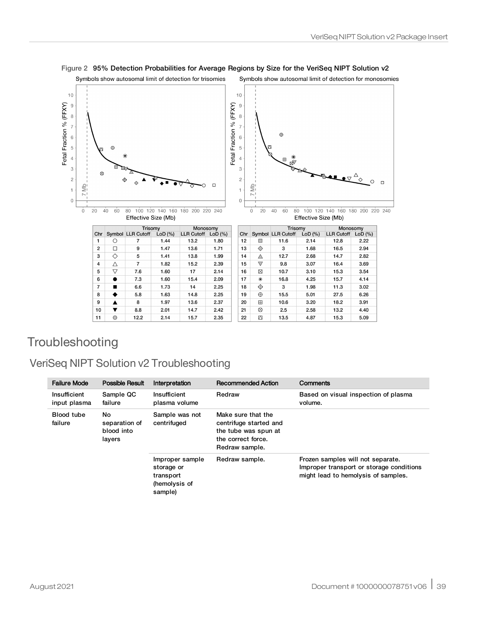

#### <span id="page-38-0"></span>Figure 2 95% Detection Probabilities for Average Regions by Size for the VeriSeq NIPT Solution v2

# **Troubleshooting**

# VeriSeq NIPT Solution v2 Troubleshooting

| <b>Failure Mode</b>                          | Possible Result             | Interpretation                                                         | <b>Recommended Action</b>                                                                                    | Comments                                                                                                             |
|----------------------------------------------|-----------------------------|------------------------------------------------------------------------|--------------------------------------------------------------------------------------------------------------|----------------------------------------------------------------------------------------------------------------------|
| Insufficient<br>input plasma                 | Sample QC<br>failure        | Insufficient<br>plasma volume                                          | Redraw                                                                                                       | Based on visual inspection of plasma<br>volume.                                                                      |
| No<br><b>Blood tube</b><br>failure<br>layers | separation of<br>blood into | Sample was not<br>centrifuged                                          | Make sure that the<br>centrifuge started and<br>the tube was spun at<br>the correct force.<br>Redraw sample. |                                                                                                                      |
|                                              |                             | Improper sample<br>storage or<br>transport<br>(hemolysis of<br>sample) | Redraw sample.                                                                                               | Frozen samples will not separate.<br>Improper transport or storage conditions<br>might lead to hemolysis of samples. |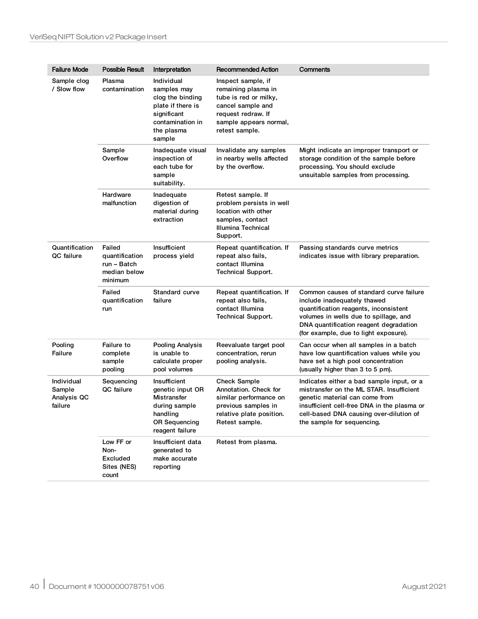| <b>Failure Mode</b>                            | Possible Result                                                    | Interpretation                                                                                                                | <b>Recommended Action</b>                                                                                                                                 | Comments                                                                                                                                                                                                                                        |
|------------------------------------------------|--------------------------------------------------------------------|-------------------------------------------------------------------------------------------------------------------------------|-----------------------------------------------------------------------------------------------------------------------------------------------------------|-------------------------------------------------------------------------------------------------------------------------------------------------------------------------------------------------------------------------------------------------|
| Sample clog<br>/ Slow flow                     | Plasma<br>contamination                                            | Individual<br>samples may<br>clog the binding<br>plate if there is<br>significant<br>contamination in<br>the plasma<br>sample | Inspect sample, if<br>remaining plasma in<br>tube is red or milky,<br>cancel sample and<br>request redraw. If<br>sample appears normal,<br>retest sample. |                                                                                                                                                                                                                                                 |
|                                                | Sample<br>Overflow                                                 | Inadequate visual<br>inspection of<br>each tube for<br>sample<br>suitability.                                                 | Invalidate any samples<br>in nearby wells affected<br>by the overflow.                                                                                    | Might indicate an improper transport or<br>storage condition of the sample before<br>processing. You should exclude<br>unsuitable samples from processing.                                                                                      |
|                                                | Hardware<br>malfunction                                            | Inadequate<br>digestion of<br>material during<br>extraction                                                                   | Retest sample. If<br>problem persists in well<br>location with other<br>samples, contact<br>Illumina Technical<br>Support.                                |                                                                                                                                                                                                                                                 |
| Quantification<br>QC failure                   | Failed<br>quantification<br>run – Batch<br>median below<br>minimum | Insufficient<br>process yield                                                                                                 | Repeat quantification. If<br>repeat also fails,<br>contact Illumina<br><b>Technical Support.</b>                                                          | Passing standards curve metrics<br>indicates issue with library preparation.                                                                                                                                                                    |
|                                                | Failed<br>quantification<br>run                                    | Standard curve<br>failure                                                                                                     | Repeat quantification. If<br>repeat also fails,<br>contact Illumina<br><b>Technical Support.</b>                                                          | Common causes of standard curve failure<br>include inadequately thawed<br>quantification reagents, inconsistent<br>volumes in wells due to spillage, and<br>DNA quantification reagent degradation<br>(for example, due to light exposure).     |
| Pooling<br>Failure                             | Failure to<br>complete<br>sample<br>pooling                        | <b>Pooling Analysis</b><br>is unable to<br>calculate proper<br>pool volumes                                                   | Reevaluate target pool<br>concentration, rerun<br>pooling analysis.                                                                                       | Can occur when all samples in a batch<br>have low quantification values while you<br>have set a high pool concentration<br>(usually higher than 3 to 5 pm).                                                                                     |
| Individual<br>Sample<br>Analysis QC<br>failure | Sequencing<br><b>QC</b> failure                                    | Insufficient<br>genetic input OR<br>Mistransfer<br>during sample<br>handling<br><b>OR Sequencing</b><br>reagent failure       | <b>Check Sample</b><br>Annotation. Check for<br>similar performance on<br>previous samples in<br>relative plate position.<br>Retest sample.               | Indicates either a bad sample input, or a<br>mistransfer on the ML STAR. Insufficient<br>genetic material can come from<br>insufficient cell-free DNA in the plasma or<br>cell-based DNA causing over-dilution of<br>the sample for sequencing. |
|                                                | Low FF or<br>Non-<br>Excluded<br>Sites (NES)<br>count              | Insufficient data<br>generated to<br>make accurate<br>reporting                                                               | Retest from plasma.                                                                                                                                       |                                                                                                                                                                                                                                                 |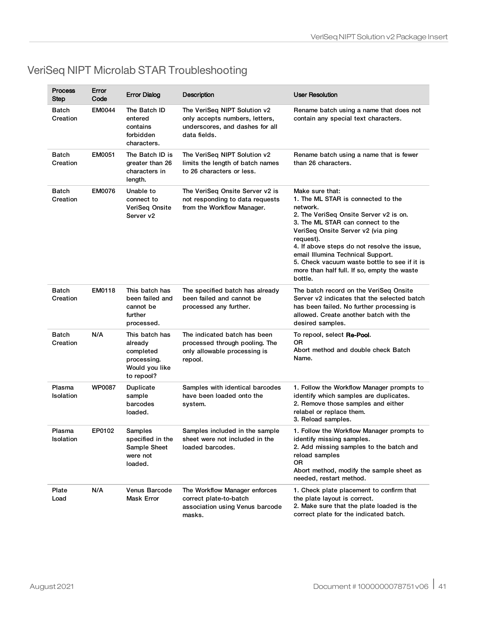| <b>Process</b><br>Step     | Error<br>Code | <b>Error Dialog</b>                                                                   | Description                                                                                                       | <b>User Resolution</b>                                                                                                                                                                                                                                                                                                                                                                            |
|----------------------------|---------------|---------------------------------------------------------------------------------------|-------------------------------------------------------------------------------------------------------------------|---------------------------------------------------------------------------------------------------------------------------------------------------------------------------------------------------------------------------------------------------------------------------------------------------------------------------------------------------------------------------------------------------|
| Batch<br>Creation          | <b>EM0044</b> | The Batch ID<br>entered<br>contains<br>forbidden<br>characters.                       | The VeriSeq NIPT Solution v2<br>only accepts numbers, letters,<br>underscores, and dashes for all<br>data fields. | Rename batch using a name that does not<br>contain any special text characters.                                                                                                                                                                                                                                                                                                                   |
| Batch<br>Creation          | <b>EM0051</b> | The Batch ID is<br>greater than 26<br>characters in<br>length.                        | The VeriSeg NIPT Solution v2<br>limits the length of batch names<br>to 26 characters or less.                     | Rename batch using a name that is fewer<br>than 26 characters.                                                                                                                                                                                                                                                                                                                                    |
| Batch<br>Creation          | <b>EM0076</b> | Unable to<br>connect to<br>VeriSeg Onsite<br>Server v2                                | The VeriSeg Onsite Server v2 is<br>not responding to data requests<br>from the Workflow Manager.                  | Make sure that:<br>1. The ML STAR is connected to the<br>network.<br>2. The VeriSeg Onsite Server v2 is on.<br>3. The ML STAR can connect to the<br>VeriSeq Onsite Server v2 (via ping<br>request).<br>4. If above steps do not resolve the issue,<br>email Illumina Technical Support.<br>5. Check vacuum waste bottle to see if it is<br>more than half full. If so, empty the waste<br>bottle. |
| <b>Batch</b><br>Creation   | EM0118        | This batch has<br>been failed and<br>cannot be<br>further<br>processed.               | The specified batch has already<br>been failed and cannot be<br>processed any further.                            | The batch record on the VeriSeg Onsite<br>Server v2 indicates that the selected batch<br>has been failed. No further processing is<br>allowed. Create another batch with the<br>desired samples.                                                                                                                                                                                                  |
| <b>Batch</b><br>Creation   | N/A           | This batch has<br>already<br>completed<br>processing.<br>Would you like<br>to repool? | The indicated batch has been<br>processed through pooling. The<br>only allowable processing is<br>repool.         | To repool, select <b>Re-Pool</b> .<br>ΟR<br>Abort method and double check Batch<br>Name.                                                                                                                                                                                                                                                                                                          |
| Plasma<br><b>Isolation</b> | <b>WP0087</b> | Duplicate<br>sample<br>barcodes<br>loaded.                                            | Samples with identical barcodes<br>have been loaded onto the<br>system.                                           | 1. Follow the Workflow Manager prompts to<br>identify which samples are duplicates.<br>2. Remove those samples and either<br>relabel or replace them.<br>3. Reload samples.                                                                                                                                                                                                                       |
| Plasma<br>Isolation        | EP0102        | Samples<br>specified in the<br>Sample Sheet<br>were not<br>loaded.                    | Samples included in the sample<br>sheet were not included in the<br>loaded barcodes.                              | 1. Follow the Workflow Manager prompts to<br>identify missing samples.<br>2. Add missing samples to the batch and<br>reload samples<br>0R<br>Abort method, modify the sample sheet as<br>needed, restart method.                                                                                                                                                                                  |
| Plate<br>Load              | N/A           | Venus Barcode<br>Mask Error                                                           | The Workflow Manager enforces<br>correct plate-to-batch<br>association using Venus barcode<br>masks.              | 1. Check plate placement to confirm that<br>the plate layout is correct.<br>2. Make sure that the plate loaded is the<br>correct plate for the indicated batch.                                                                                                                                                                                                                                   |

# VeriSeq NIPT Microlab STAR Troubleshooting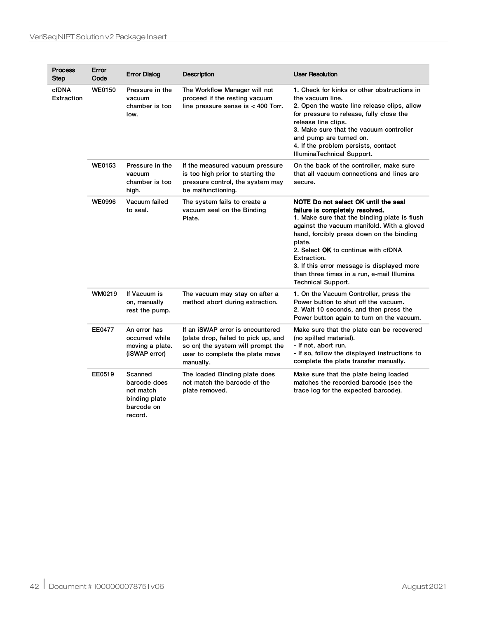| <b>Process</b><br>Step | Error<br>Code | <b>Error Dialog</b>                                                            | Description                                                                                                                                                  | <b>User Resolution</b>                                                                                                                                                                                                                                                                                                                                                                                     |
|------------------------|---------------|--------------------------------------------------------------------------------|--------------------------------------------------------------------------------------------------------------------------------------------------------------|------------------------------------------------------------------------------------------------------------------------------------------------------------------------------------------------------------------------------------------------------------------------------------------------------------------------------------------------------------------------------------------------------------|
| cfDNA<br>Extraction    | <b>WE0150</b> | Pressure in the<br>vacuum<br>chamber is too<br>low.                            | The Workflow Manager will not<br>proceed if the resting vacuum<br>line pressure sense is $<$ 400 Torr.                                                       | 1. Check for kinks or other obstructions in<br>the vacuum line.<br>2. Open the waste line release clips, allow<br>for pressure to release, fully close the<br>release line clips.<br>3. Make sure that the vacuum controller<br>and pump are turned on.<br>4. If the problem persists, contact<br>IlluminaTechnical Support.                                                                               |
|                        | <b>WE0153</b> | Pressure in the<br>vacuum<br>chamber is too<br>high.                           | If the measured vacuum pressure<br>is too high prior to starting the<br>pressure control, the system may<br>be malfunctioning.                               | On the back of the controller, make sure<br>that all vacuum connections and lines are<br>secure.                                                                                                                                                                                                                                                                                                           |
|                        | <b>WE0996</b> | Vacuum failed<br>to seal.                                                      | The system fails to create a<br>vacuum seal on the Binding<br>Plate.                                                                                         | NOTE Do not select OK until the seal<br>failure is completely resolved.<br>1. Make sure that the binding plate is flush<br>against the vacuum manifold. With a gloved<br>hand, forcibly press down on the binding<br>plate.<br>2. Select OK to continue with cfDNA<br>Extraction.<br>3. If this error message is displayed more<br>than three times in a run, e-mail Illumina<br><b>Technical Support.</b> |
|                        | WM0219        | If Vacuum is<br>on, manually<br>rest the pump.                                 | The vacuum may stay on after a<br>method abort during extraction.                                                                                            | 1. On the Vacuum Controller, press the<br>Power button to shut off the vacuum.<br>2. Wait 10 seconds, and then press the<br>Power button again to turn on the vacuum.                                                                                                                                                                                                                                      |
|                        | <b>EE0477</b> | An error has<br>occurred while<br>moving a plate.<br>(iSWAP error)             | If an iSWAP error is encountered<br>(plate drop, failed to pick up, and<br>so on) the system will prompt the<br>user to complete the plate move<br>manually. | Make sure that the plate can be recovered<br>(no spilled material).<br>- If not, abort run.<br>- If so, follow the displayed instructions to<br>complete the plate transfer manually.                                                                                                                                                                                                                      |
|                        | EE0519        | Scanned<br>barcode does<br>not match<br>binding plate<br>barcode on<br>record. | The loaded Binding plate does<br>not match the barcode of the<br>plate removed.                                                                              | Make sure that the plate being loaded<br>matches the recorded barcode (see the<br>trace log for the expected barcode).                                                                                                                                                                                                                                                                                     |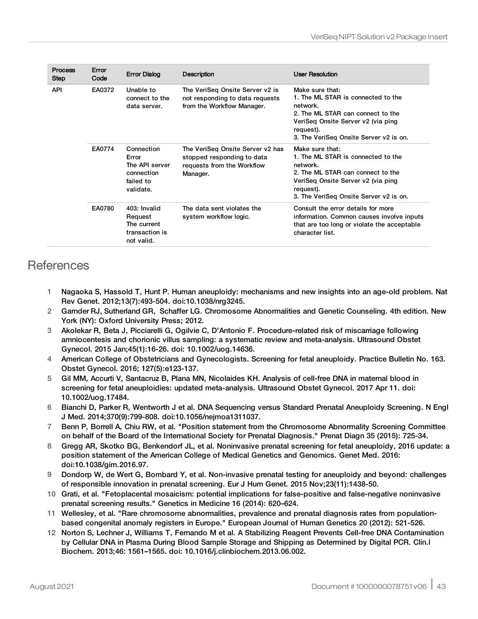| <b>Process</b><br><b>Step</b> | Error<br>Code | <b>Error Dialog</b>                                                           | <b>Description</b>                                                                                       | <b>User Resolution</b>                                                                                                                                                                              |
|-------------------------------|---------------|-------------------------------------------------------------------------------|----------------------------------------------------------------------------------------------------------|-----------------------------------------------------------------------------------------------------------------------------------------------------------------------------------------------------|
| <b>API</b>                    | EA0372        | Unable to<br>connect to the<br>data server.                                   | The VeriSeg Onsite Server v2 is<br>not responding to data requests<br>from the Workflow Manager.         | Make sure that:<br>1. The ML STAR is connected to the<br>network.<br>2. The ML STAR can connect to the<br>VeriSeg Onsite Server v2 (via ping<br>request).<br>3. The VeriSeq Onsite Server v2 is on. |
|                               | EA0774        | Connection<br>Error<br>The API server<br>connection<br>failed to<br>validate. | The VeriSeg Onsite Server v2 has<br>stopped responding to data<br>requests from the Workflow<br>Manager. | Make sure that:<br>1. The ML STAR is connected to the<br>network.<br>2. The ML STAR can connect to the<br>VeriSeg Onsite Server v2 (via ping<br>request).<br>3. The VeriSeg Onsite Server v2 is on. |
|                               | EA0780        | 403: Invalid<br>Request<br>The current<br>transaction is<br>not valid.        | The data sent violates the<br>system workflow logic.                                                     | Consult the error details for more<br>information. Common causes involve inputs<br>that are too long or violate the acceptable<br>character list.                                                   |

# **References**

- 1 Nagaoka S, Hassold T, Hunt P. Human aneuploidy: mechanisms and new insights into an age-old problem. Nat Rev Genet. 2012;13(7):493-504. doi:10.1038/nrg3245.
- 2 Garnder RJ, Sutherland GR, Schaffer LG. Chromosome Abnormalities and Genetic Counseling. 4th edition. New York (NY): Oxford University Press; 2012.
- 3 Akolekar R, Beta J, Picciarelli G, Ogilvie C, D'Antonio F. Procedure-related risk of miscarriage following amniocentesis and chorionic villus sampling: a systematic review and meta-analysis. Ultrasound Obstet Gynecol. 2015 Jan;45(1):16-26. doi: 10.1002/uog.14636.
- 4 American College of Obstetricians and Gynecologists. Screening for fetal aneuploidy. Practice Bulletin No. 163. Obstet Gynecol. 2016; 127(5):e123-137.
- 5 Gil MM, Accurti V, Santacruz B, Plana MN, Nicolaides KH. Analysis of cell-free DNA in maternal blood in screening for fetal aneuploidies: updated meta-analysis. Ultrasound Obstet Gynecol. 2017 Apr 11. doi: 10.1002/uog.17484.
- 6 Bianchi D, Parker R, Wentworth J et al. DNA Sequencing versus Standard Prenatal Aneuploidy Screening. N Engl J Med. 2014;370(9):799-808. doi:10.1056/nejmoa1311037.
- 7 Benn P, Borrell A, Chiu RW, et al. "Position statement from the Chromosome Abnormality Screening Committee on behalf of the Board of the International Society for Prenatal Diagnosis." Prenat Diagn 35 (2015): 725-34.
- 8 Gregg AR, Skotko BG, Benkendorf JL, et al. Noninvasive prenatal screening for fetal aneuploidy, 2016 update: a position statement of the American College of Medical Genetics and Genomics. Genet Med. 2016: doi:10.1038/gim.2016.97.
- 9 Dondorp W, de Wert G, Bombard Y, et al. Non-invasive prenatal testing for aneuploidy and beyond: challenges of responsible innovation in prenatal screening. Eur J Hum Genet. 2015 Nov;23(11):1438-50.
- 10 Grati, et al. "Fetoplacental mosaicism: potential implications for false-positive and false-negative noninvasive prenatal screening results." Genetics in Medicine 16 (2014): 620–624.
- 11 Wellesley, et al. "Rare chromosome abnormalities, prevalence and prenatal diagnosis rates from populationbased congenital anomaly registers in Europe." European Journal of Human Genetics 20 (2012): 521-526.
- 12 Norton S, Lechner J, Williams T, Fernando M et al. A Stabilizing Reagent Prevents Cell-free DNA Contamination by Cellular DNA in Plasma During Blood Sample Storage and Shipping as Determined by Digital PCR. Clin.l Biochem. 2013;46: 1561–1565. doi: 10.1016/j.clinbiochem.2013.06.002.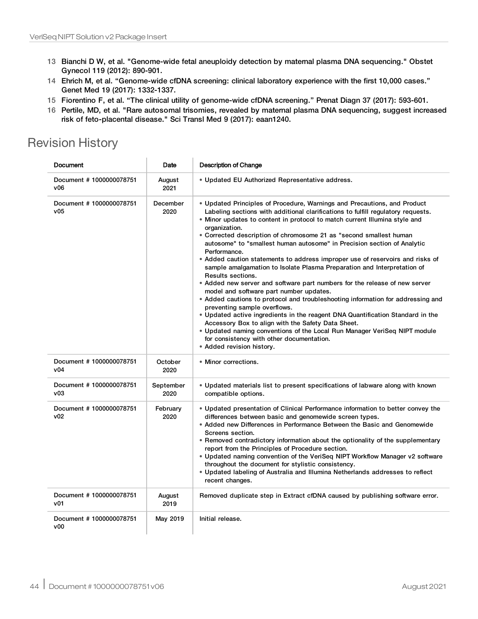- 13 Bianchi D W, et al. "Genome-wide fetal aneuploidy detection by maternal plasma DNA sequencing." Obstet Gynecol 119 (2012): 890-901.
- 14 Ehrich M, et al. "Genome-wide cfDNA screening: clinical laboratory experience with the first 10,000 cases." Genet Med 19 (2017): 1332-1337.
- 15 Fiorentino F, et al. "The clinical utility of genome-wide cfDNA screening." Prenat Diagn 37 (2017): 593-601.
- 16 Pertile, MD, et al. "Rare autosomal trisomies, revealed by maternal plasma DNA sequencing, suggest increased risk of feto-placental disease." Sci Transl Med 9 (2017): eaan1240.

# Revision History

| Document                       | Date              | <b>Description of Change</b>                                                                                                                                                                                                                                                                                                                                                                                                                                                                                                                                                                                                                                                                                                                                                                                                                                                                                                                                                                                                                                                                                                                             |
|--------------------------------|-------------------|----------------------------------------------------------------------------------------------------------------------------------------------------------------------------------------------------------------------------------------------------------------------------------------------------------------------------------------------------------------------------------------------------------------------------------------------------------------------------------------------------------------------------------------------------------------------------------------------------------------------------------------------------------------------------------------------------------------------------------------------------------------------------------------------------------------------------------------------------------------------------------------------------------------------------------------------------------------------------------------------------------------------------------------------------------------------------------------------------------------------------------------------------------|
| Document #1000000078751<br>v06 | August<br>2021    | • Updated EU Authorized Representative address.                                                                                                                                                                                                                                                                                                                                                                                                                                                                                                                                                                                                                                                                                                                                                                                                                                                                                                                                                                                                                                                                                                          |
| Document #1000000078751<br>v05 | December<br>2020  | • Updated Principles of Procedure, Warnings and Precautions, and Product<br>Labeling sections with additional clarifications to fulfill regulatory requests.<br>• Minor updates to content in protocol to match current Illumina style and<br>organization.<br>• Corrected description of chromosome 21 as "second smallest human<br>autosome" to "smallest human autosome" in Precision section of Analytic<br>Performance.<br>• Added caution statements to address improper use of reservoirs and risks of<br>sample amalgamation to Isolate Plasma Preparation and Interpretation of<br>Results sections.<br>• Added new server and software part numbers for the release of new server<br>model and software part number updates.<br>• Added cautions to protocol and troubleshooting information for addressing and<br>preventing sample overflows.<br>• Updated active ingredients in the reagent DNA Quantification Standard in the<br>Accessory Box to align with the Safety Data Sheet.<br>• Updated naming conventions of the Local Run Manager VeriSeq NIPT module<br>for consistency with other documentation.<br>• Added revision history. |
| Document #1000000078751<br>v04 | October<br>2020   | • Minor corrections.                                                                                                                                                                                                                                                                                                                                                                                                                                                                                                                                                                                                                                                                                                                                                                                                                                                                                                                                                                                                                                                                                                                                     |
| Document #1000000078751<br>v03 | September<br>2020 | • Updated materials list to present specifications of labware along with known<br>compatible options.                                                                                                                                                                                                                                                                                                                                                                                                                                                                                                                                                                                                                                                                                                                                                                                                                                                                                                                                                                                                                                                    |
| Document #1000000078751<br>v02 | February<br>2020  | • Updated presentation of Clinical Performance information to better convey the<br>differences between basic and genomewide screen types.<br>• Added new Differences in Performance Between the Basic and Genomewide<br>Screens section.<br>• Removed contradictory information about the optionality of the supplementary<br>report from the Principles of Procedure section.<br>. Updated naming convention of the VeriSeq NIPT Workflow Manager v2 software<br>throughout the document for stylistic consistency.<br>. Updated labeling of Australia and Illumina Netherlands addresses to reflect<br>recent changes.                                                                                                                                                                                                                                                                                                                                                                                                                                                                                                                                 |
| Document #1000000078751<br>v01 | August<br>2019    | Removed duplicate step in Extract cfDNA caused by publishing software error.                                                                                                                                                                                                                                                                                                                                                                                                                                                                                                                                                                                                                                                                                                                                                                                                                                                                                                                                                                                                                                                                             |
| Document #1000000078751<br>v00 | May 2019          | Initial release.                                                                                                                                                                                                                                                                                                                                                                                                                                                                                                                                                                                                                                                                                                                                                                                                                                                                                                                                                                                                                                                                                                                                         |